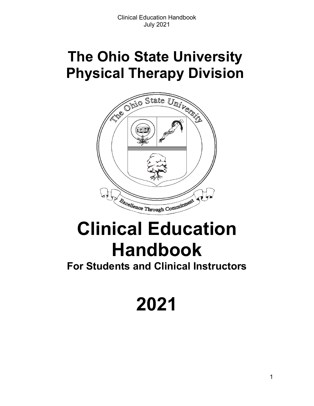# **The Ohio State University Physical Therapy Division**



# **Clinical Education Handbook**

**For Students and Clinical Instructors**

**2021**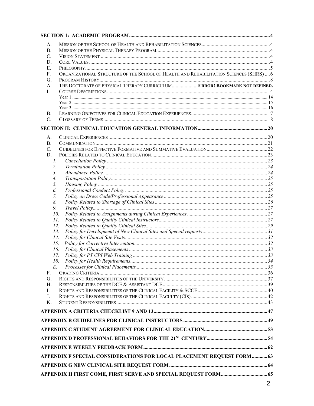| А.              |                                                                                        |  |
|-----------------|----------------------------------------------------------------------------------------|--|
| <b>B.</b>       |                                                                                        |  |
| $\mathcal{C}$ . |                                                                                        |  |
| D.              |                                                                                        |  |
| E.              |                                                                                        |  |
| F.              | ORGANIZATIONAL STRUCTURE OF THE SCHOOL OF HEALTH AND REHABILITATION SCIENCES (SHRS)  6 |  |
| G.              |                                                                                        |  |
| А.              | THE DOCTORATE OF PHYSICAL THERAPY CURRICULUM ERROR! BOOKMARK NOT DEFINED.              |  |
| L.              |                                                                                        |  |
|                 |                                                                                        |  |
|                 |                                                                                        |  |
| В.              |                                                                                        |  |
| C.              |                                                                                        |  |
|                 |                                                                                        |  |
|                 |                                                                                        |  |
| А.              |                                                                                        |  |
| B.              |                                                                                        |  |
| $C_{\cdot}$     |                                                                                        |  |
| D.              |                                                                                        |  |
| Ι.              |                                                                                        |  |
| 2.              |                                                                                        |  |
| 3.              |                                                                                        |  |
| 4.              |                                                                                        |  |
| 5.              |                                                                                        |  |
| 6.              |                                                                                        |  |
| 7.              |                                                                                        |  |
| 8.              |                                                                                        |  |
| 9.              |                                                                                        |  |
| 10.             |                                                                                        |  |
| 11.             |                                                                                        |  |
| 12.             |                                                                                        |  |
| 13.             |                                                                                        |  |
| 14.             |                                                                                        |  |
| 15.             |                                                                                        |  |
| 16.             |                                                                                        |  |
| 17.             |                                                                                        |  |
| 18.             |                                                                                        |  |
| E.              |                                                                                        |  |
| F.              |                                                                                        |  |
| G.<br>Н.        |                                                                                        |  |
| I.              |                                                                                        |  |
| J.              |                                                                                        |  |
| $K_{\cdot}$     |                                                                                        |  |
|                 |                                                                                        |  |
|                 |                                                                                        |  |
|                 |                                                                                        |  |
|                 |                                                                                        |  |
|                 |                                                                                        |  |
|                 |                                                                                        |  |
|                 | APPENDIX F SPECIAL CONSIDERATIONS FOR LOCAL PLACEMENT REQUEST FORM63                   |  |
|                 |                                                                                        |  |
|                 |                                                                                        |  |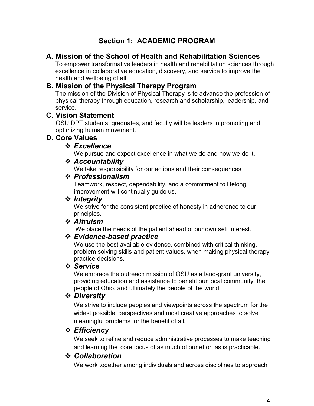### **Section 1: ACADEMIC PROGRAM**

### <span id="page-3-1"></span><span id="page-3-0"></span>**A. Mission of the School of Health and Rehabilitation Sciences**

To empower transformative leaders in health and rehabilitation sciences through excellence in collaborative education, discovery, and service to improve the health and wellbeing of all.

### <span id="page-3-2"></span>**B. Mission of the Physical Therapy Program**

The mission of the Division of Physical Therapy is to advance the profession of physical therapy through education, research and scholarship, leadership, and service.

### <span id="page-3-3"></span>**C. Vision Statement**

OSU DPT students, graduates, and faculty will be leaders in promoting and optimizing human movement.

### <span id="page-3-4"></span>**D. Core Values**

### *Excellence*

We pursue and expect excellence in what we do and how we do it.

### *Accountability*

We take responsibility for our actions and their consequences

### *Professionalism*

Teamwork, respect, dependability, and a commitment to lifelong improvement will continually guide us.

### *❖* Integrity

We strive for the consistent practice of honesty in adherence to our principles.

### *Altruism*

We place the needs of the patient ahead of our own self interest.

### *Evidence-based practice*

We use the best available evidence, combined with critical thinking, problem solving skills and patient values, when making physical therapy practice decisions.

### *Service*

We embrace the outreach mission of OSU as a land-grant university, providing education and assistance to benefit our local community, the people of Ohio, and ultimately the people of the world.

### *Diversity*

We strive to include peoples and viewpoints across the spectrum for the widest possible perspectives and most creative approaches to solve meaningful problems for the benefit of all.

### *Efficiency*

We seek to refine and reduce administrative processes to make teaching and learning the core focus of as much of our effort as is practicable.

### *Collaboration*

We work together among individuals and across disciplines to approach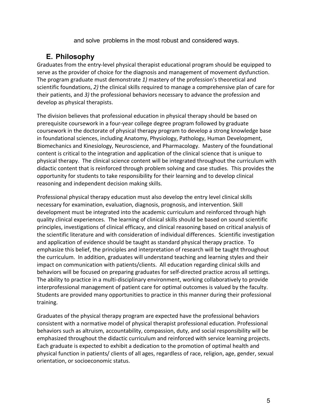and solve problems in the most robust and considered ways.

### **E. Philosophy**

<span id="page-4-0"></span>Graduates from the entry-level physical therapist educational program should be equipped to serve as the provider of choice for the diagnosis and management of movement dysfunction. The program graduate must demonstrate *1)* mastery of the profession's theoretical and scientific foundations, *2)* the clinical skills required to manage a comprehensive plan of care for their patients, and *3)* the professional behaviors necessary to advance the profession and develop as physical therapists.

The division believes that professional education in physical therapy should be based on prerequisite coursework in a four-year college degree program followed by graduate coursework in the doctorate of physical therapy program to develop a strong knowledge base in foundational sciences, including Anatomy, Physiology, Pathology, Human Development, Biomechanics and Kinesiology, Neuroscience, and Pharmacology. Mastery of the foundational content is critical to the integration and application of the clinical science that is unique to physical therapy. The clinical science content will be integrated throughout the curriculum with didactic content that is reinforced through problem solving and case studies. This provides the opportunity for students to take responsibility for their learning and to develop clinical reasoning and independent decision making skills.

Professional physical therapy education must also develop the entry level clinical skills necessary for examination, evaluation, diagnosis, prognosis, and intervention. Skill development must be integrated into the academic curriculum and reinforced through high quality clinical experiences. The learning of clinical skills should be based on sound scientific principles, investigations of clinical efficacy, and clinical reasoning based on critical analysis of the scientific literature and with consideration of individual differences. Scientific investigation and application of evidence should be taught as standard physical therapy practice. To emphasize this belief, the principles and interpretation of research will be taught throughout the curriculum. In addition, graduates will understand teaching and learning styles and their impact on communication with patients/clients. All education regarding clinical skills and behaviors will be focused on preparing graduates for self-directed practice across all settings. The ability to practice in a multi-disciplinary environment, working collaboratively to provide interprofessional management of patient care for optimal outcomes is valued by the faculty. Students are provided many opportunities to practice in this manner during their professional training.

Graduates of the physical therapy program are expected have the professional behaviors consistent with a normative model of physical therapist professional education. Professional behaviors such as altruism, accountability, compassion, duty, and social responsibility will be emphasized throughout the didactic curriculum and reinforced with service learning projects. Each graduate is expected to exhibit a dedication to the promotion of optimal health and physical function in patients/ clients of all ages, regardless of race, religion, age, gender, sexual orientation, or socioeconomic status.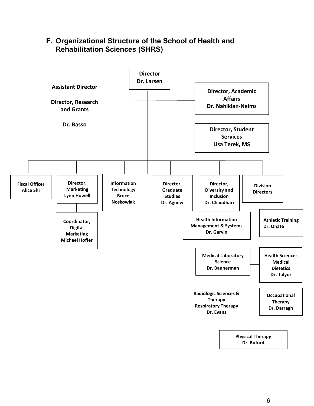### <span id="page-5-0"></span>**F. Organizational Structure of the School of Health and Rehabilitation Sciences (SHRS)**

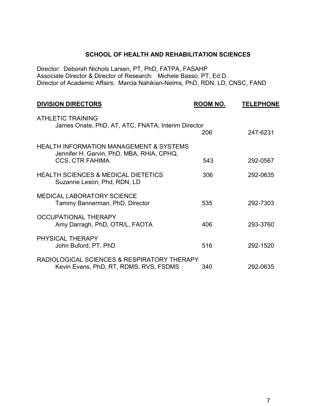#### **SCHOOL OF HEALTH AND REHABILITATION SCIENCES**

Director: Deborah Nichols Larsen, PT, PhD, FATPA, FASAHP Associate Director & Director of Research: Michele Basso, PT, Ed.D. Director of Academic Affairs: Marcia Nahikian-Nelms, PhD, RDN, LD, CNSC, FAND

| <b>DIVISION DIRECTORS</b>                                                                                                 | ROOM NO. | <b>TELEPHONE</b> |
|---------------------------------------------------------------------------------------------------------------------------|----------|------------------|
| <b>ATHLETIC TRAINING</b><br>James Onate, PhD, AT, ATC, FNATA, Interim Director                                            | 206      | 247-6231         |
| <b>HEALTH INFORMATION MANAGEMENT &amp; SYSTEMS</b><br>Jennifer H. Garvin, PhD, MBA, RHIA, CPHQ,<br><b>CCS, CTR FAHIMA</b> | 543      | 292-0567         |
| <b>HEALTH SCIENCES &amp; MEDICAL DIETETICS</b><br>Suzanne Leson, Phd, RDN, LD                                             | 306      | 292-0635         |
| <b>MEDICAL LABORATORY SCIENCE</b><br>Tammy Bannerman, PhD, Director                                                       | 535      | 292-7303         |
| <b>OCCUPATIONAL THERAPY</b><br>Amy Darragh, PhD, OTR/L, FAOTA                                                             | 406      | 293-3760         |
| PHYSICAL THERAPY<br>John Buford, PT, PhD                                                                                  | 516      | 292-1520         |
| RADIOLOGICAL SCIENCES & RESPIRATORY THERAPY<br>Kevin Evans, PhD, RT, RDMS, RVS, FSDMS                                     | 340      | 292-0635         |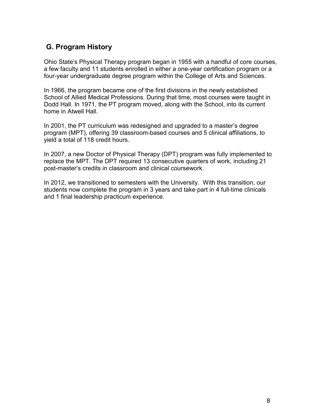### <span id="page-7-0"></span>**G. Program History**

Ohio State's Physical Therapy program began in 1955 with a handful of core courses, a few faculty and 11 students enrolled in either a one-year certification program or a four-year undergraduate degree program within the College of Arts and Sciences.

In 1966, the program became one of the first divisions in the newly established School of Allied Medical Professions. During that time, most courses were taught in Dodd Hall. In 1971, the PT program moved, along with the School, into its current home in Atwell Hall.

In 2001, the PT curriculum was redesigned and upgraded to a master's degree program (MPT), offering 39 classroom-based courses and 5 clinical affiliations, to yield a total of 118 credit hours.

In 2007, a new Doctor of Physical Therapy (DPT) program was fully implemented to replace the MPT. The DPT required 13 consecutive quarters of work, including 21 post-master's credits in classroom and clinical coursework.

In 2012, we transitioned to semesters with the University. With this transition, our students now complete the program in 3 years and take part in 4 full-time clinicals and 1 final leadership practicum experience.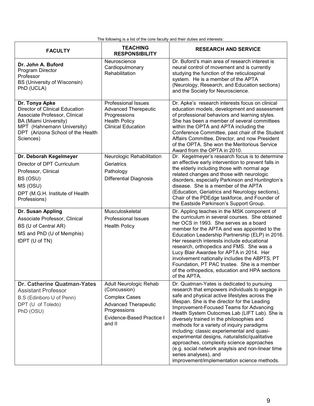The following is a list of the core faculty and their duties and interests:

| <b>FACULTY</b>                                                                                                                                                                                    | <b>TEACHING</b><br><b>RESPONSIBILITY</b>                                                                                                                    | <b>RESEARCH AND SERVICE</b>                                                                                                                                                                                                                                                                                                                                                                                                                                                                                                                                                                                                                                        |  |  |  |
|---------------------------------------------------------------------------------------------------------------------------------------------------------------------------------------------------|-------------------------------------------------------------------------------------------------------------------------------------------------------------|--------------------------------------------------------------------------------------------------------------------------------------------------------------------------------------------------------------------------------------------------------------------------------------------------------------------------------------------------------------------------------------------------------------------------------------------------------------------------------------------------------------------------------------------------------------------------------------------------------------------------------------------------------------------|--|--|--|
| Dr. John A. Buford<br>Program Director<br>Professor<br><b>BS (University of Wisconsin)</b><br>PhD (UCLA)                                                                                          | Neuroscience<br>Cardiopulmonary<br>Rehabilitation                                                                                                           | Dr. Buford's main area of research interest is<br>neural control of movement and is currently<br>studying the function of the reticulospinal<br>system. He is a member of the APTA<br>(Neurology, Research, and Education sections)<br>and the Society for Neuroscience.                                                                                                                                                                                                                                                                                                                                                                                           |  |  |  |
| Dr. Tonya Apke<br>Director of Clinical Education<br>Associate Professor, Clinical<br><b>BA (Miami University)</b><br>MPT (Hahnemann University)<br>DPT (Arizona School of the Health<br>Sciences) | <b>Professional Issues</b><br><b>Advanced Therepeutic</b><br>Progressions<br><b>Health Policy</b><br><b>Clinical Education</b>                              | Dr. Apke's research interests focus on clinical<br>education models, development and assessment<br>of professional behaviors and learning styles.<br>She has been a member of several committees<br>within the OPTA and APTA including the<br>Conference Committee, past chair of the Student<br>Affairs Committee, Director, and now President<br>of the OPTA. She won the Meritorious Service<br>Award from the OPTA in 2010.                                                                                                                                                                                                                                    |  |  |  |
| Dr. Deborah Kegelmeyer<br>Director of DPT Curriculum<br>Professor, Clinical<br>BS (OSU)<br>MS (OSU)<br>DPT (M.G.H. Institute of Health<br>Professions)                                            | Neurologic Rehabilitation<br>Geriatrics<br>Pathology<br><b>Differential Diagnosis</b>                                                                       | Dr. Kegelmeyer's research focus is to determine<br>an effective early intervention to prevent falls in<br>the elderly including those with normal age<br>related changes and those with neurologic<br>disorders, especially Parkinson and Huntington's<br>disease. She is a member of the APTA<br>(Education, Geriatrics and Neurology sections),<br>Chair of the PDEdge taskforce, and Founder of<br>the Eastside Parkinson's Support Group.                                                                                                                                                                                                                      |  |  |  |
| Dr. Susan Appling<br>Associate Professor, Clinical<br>BS (U of Central AR)<br>MS and PhD (U of Memphis)<br>tDPT (U of TN)                                                                         | Musculoskeletal<br><b>Professional Issues</b><br><b>Health Policy</b>                                                                                       | Dr. Appling teaches in the MSK component of<br>the curriculum in several courses. She obtained<br>her OCS in 1993. She serves as a board<br>member for the APTA and was appointed to the<br>Education Leadership Partnership (ELP) in 2016.<br>Her research interests include educational<br>research, orthopedics and FMS. She was a<br>Lucy Blair Awardee for APTA in 2014. Her<br>involvement nationally includes the ABPTS, PT<br>Foundation, PT PAC trustee. She is a member<br>of the orthopedics, education and HPA sections<br>of the APTA.                                                                                                                |  |  |  |
| Dr. Catherine Quatman-Yates<br><b>Assistant Professor</b><br>B.S (Edinboro U of Penn)<br>DPT (U of Toledo)<br>PhD (OSU)                                                                           | Adult Neurologic Rehab<br>(Concussion)<br><b>Complex Cases</b><br><b>Advanced Therapeutic</b><br>Progressions<br><b>Evidence-Based Practice I</b><br>and II | Dr. Quatman-Yates is dedicated to pursuing<br>research that empowers individuals to engage in<br>safe and physical active lifestyles across the<br>lifespan. She is the director for the Leading<br>Improvement-Focused Teams for Advancing<br>Health System Outocmes Lab (LIFT Lab). She is<br>diversely trained in the philosophies and<br>methods for a variety of inquiry paradigms<br>including: classic experiemental and quasi-<br>experimental designs, naturalistic/qualitative<br>approaches, complexity science approaches<br>(e.g. social network anaylsis and non-linear time<br>series analyses), and<br>improvement/implementation science methods. |  |  |  |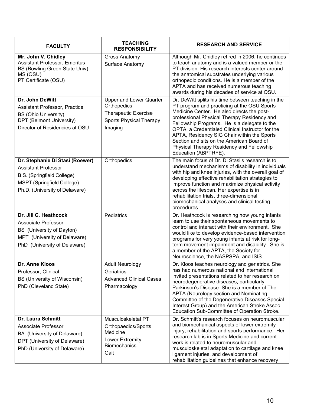| <b>FACULTY</b>                                                                                                                                                     | <b>TEACHING</b><br><b>RESPONSIBILITY</b>                                                                           | <b>RESEARCH AND SERVICE</b>                                                                                                                                                                                                                                                                                                                                                                                                                                         |
|--------------------------------------------------------------------------------------------------------------------------------------------------------------------|--------------------------------------------------------------------------------------------------------------------|---------------------------------------------------------------------------------------------------------------------------------------------------------------------------------------------------------------------------------------------------------------------------------------------------------------------------------------------------------------------------------------------------------------------------------------------------------------------|
| Mr. John V. Chidley<br><b>Assistant Professor, Emeritus</b><br>BS (Bowling Green State Univ)<br>MS (OSU)<br>PT Certificate (OSU)                                   | Gross Anatomy<br>Surface Anatomy                                                                                   | Although Mr. Chidley retired in 2006, he continues<br>to teach anatomy and is a valued member or the<br>PT division. His research interests center around<br>the anatomical substrates underlying various<br>orthopedic conditions. He is a member of the<br>APTA and has received numerous teaching<br>awards during his decades of service at OSU.                                                                                                                |
| Dr. John DeWitt<br>Assistant Professor, Practice<br><b>BS (Ohio University)</b><br>DPT (Belmont University)<br>Director of Residencies at OSU                      | <b>Upper and Lower Quarter</b><br>Orthopedics<br>Therapeutic Exercise<br><b>Sports Physical Therapy</b><br>Imaging | Dr. DeWitt splits his time between teaching in the<br>PT program and practicing at the OSU Sports<br>Medicine Center. He also directs the post-<br>professional Physical Therapy Residency and<br>Fellowship Programs. He is a delegate to the<br>OPTA, a Credentialed Clinical Instructor for the<br>APTA, Residency SIG Chair within the Sports<br>Section and sits on the American Board of<br>Physical Therapy Residency and Fellowship<br>Education (ABPTRFE). |
| Dr. Stephanie Di Stasi (Roewer)<br><b>Assistant Professor</b><br>B.S. (Springfield College)<br><b>MSPT (Springfield College)</b><br>Ph.D. (University of Delaware) | Orthopedics                                                                                                        | The main focus of Dr. Di Stasi's research is to<br>understand mechanisms of disability in individuals<br>with hip and knee injuries, with the overall goal of<br>developing effective rehabilitation strategies to<br>improve function and maximize physical activity<br>across the lifespan. Her expertise is in<br>rehabilitation trials, three-dimensional<br>biomechanical analyses and clinical testing<br>procedures.                                         |
| Dr. Jill C. Heathcock<br>Associate Professor<br>BS (University of Dayton)<br>MPT (University of Delaware)<br>PhD (University of Delaware)                          | Pediatrics                                                                                                         | Dr. Heathcock is researching how young infants<br>learn to use their spontaneous movements to<br>control and interact with their environment. She<br>would like to develop evidence-based intervention<br>programs for very young infants at risk for long-<br>term movement impairment and disability. She is<br>a member of the APTA, the Society for<br>Neuroscience, the NASPSPA, and ISIS                                                                      |
| Dr. Anne Kloos<br>Professor, Clinical<br>BS (University of Wisconsin)<br>PhD (Cleveland State)                                                                     | <b>Adult Neurology</b><br>Geriatrics<br><b>Advanced Clinical Cases</b><br>Pharmacology                             | Dr. Kloos teaches neurology and geriatrics. She<br>has had numerous national and international<br>invited presentations related to her research on<br>neurodegenerative diseases, particularly<br>Parkinson's Disease. She is a member of The<br>APTA (Neurology section and Nominating<br>Committee of the Degenerative Diseases Special<br>Interest Group) and the American Stroke Assoc.<br>Education Sub-Committee of Operation Stroke.                         |
| <b>Dr. Laura Schmitt</b><br>Associate Professor<br>BA (University of Delaware)<br>DPT (University of Delaware)<br>PhD (University of Delaware)                     | Musculoskeletal PT<br>Orthopaedics/Sports<br>Medicine<br>Lower Extremity<br><b>Biomechanics</b><br>Gait            | Dr. Schmitt's research focuses on neuromuscular<br>and biomechanical aspects of lower extremity<br>injury, rehabilitation and sports performance. Her<br>research lab is in Sports Medicine and current<br>work is related to neuromuscular and<br>musculoskeletal adaptation to cartilage and knee<br>ligament injuries, and development of<br>rehabilitation guidelines that enhance recovery                                                                     |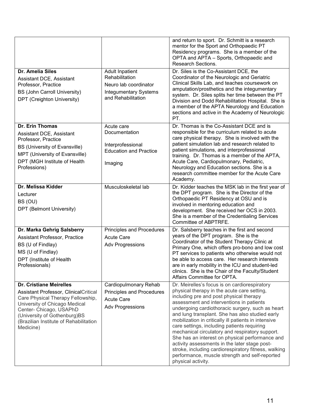|                                                                                                                                                                                                                                                                 |                                                                                                                         | and return to sport. Dr. Schmitt is a research<br>mentor for the Sport and Orthopaedic PT<br>Residency programs. She is a member of the<br>OPTA and APTA - Sports, Orthopaedic and<br>Research Sections.                                                                                                                                                                                                                                                                                                                                                                                                                                                                                 |
|-----------------------------------------------------------------------------------------------------------------------------------------------------------------------------------------------------------------------------------------------------------------|-------------------------------------------------------------------------------------------------------------------------|------------------------------------------------------------------------------------------------------------------------------------------------------------------------------------------------------------------------------------------------------------------------------------------------------------------------------------------------------------------------------------------------------------------------------------------------------------------------------------------------------------------------------------------------------------------------------------------------------------------------------------------------------------------------------------------|
| <b>Dr. Amelia Siles</b><br>Assistant DCE, Assistant<br>Professor, Practice<br><b>BS (John Carroll University)</b><br>DPT (Creighton University)                                                                                                                 | <b>Adult Inpatient</b><br>Rehabilitation<br>Neuro lab coordinator<br><b>Integumentary Systems</b><br>and Rehabilitation | Dr. Siles is the Co-Assistant DCE, the<br>Coordinator of the Neurologic and Geriatric<br>Clinical Skills Lab, and teaches coursework on<br>amputation/prosthetics and the integumentary<br>system. Dr. Siles splits her time between the PT<br>Division and Dodd Rehabilitation Hospital. She is<br>a member of the APTA Neurology and Education<br>sections and active in the Academy of Neurologic<br>PT.                                                                                                                                                                                                                                                                              |
| Dr. Erin Thomas<br><b>Assistant DCE, Assistant</b><br>Professor, Practice<br>BS (University of Evansville)<br>MPT (University of Evansville)<br>DPT (MGH Institute of Health<br>Professions)                                                                    | Acute care<br>Documentation<br>Interprofessional<br><b>Education and Practice</b><br>Imaging                            | Dr. Thomas is the Co-Assistant DCE and is<br>responsible for the curriculum related to acute<br>care physical therapy. She is involved with the<br>patient simulation lab and research related to<br>patient simulations, and interprofessional<br>training. Dr. Thomas is a member of the APTA,<br>Acute Care, Cardiopulmonary, Pediatric,<br>Neurology and Education sections. She is a<br>research committee member for the Acute Care<br>Academy.                                                                                                                                                                                                                                    |
| Dr. Melissa Kidder<br>Lecturer<br>BS (OU)<br>DPT (Belmont University)                                                                                                                                                                                           | Musculoskeletal lab                                                                                                     | Dr. Kidder teaches the MSK lab in the first year of<br>the DPT program. She is the Director of the<br>Orthopaedic PT Residency at OSU and is<br>involved in mentoring education and<br>development. She received her OCS in 2003.<br>She is a member of the Credentialing Services<br>Committee of ABPTRFE.                                                                                                                                                                                                                                                                                                                                                                              |
| Dr. Marka Gehrig Salsberry<br><b>Assistant Professor, Practice</b><br>BS (U of Findlay)<br>MS (U of Findlay)<br>DPT (Institute of Health<br>Professionals)                                                                                                      | Principles and Procedures<br><b>Acute Care</b><br><b>Adv Progressions</b>                                               | Dr. Salsberry teaches in the first and second<br>years of the DPT program. She is the<br>Coordinator of the Student Therapy Clinic at<br>Primary One, which offers pro-bono and low cost<br>PT services to patients who otherwise would not<br>be able to access care. Her research interests<br>are in early mobility in the ICU and student-led<br>clinics. She is the Chair of the Faculty/Student<br>Affairs Committee for OPTA.                                                                                                                                                                                                                                                     |
| <b>Dr. Cristiane Meirelles</b><br>Assistant Professor, ClinicalCritical<br>Care Physical Therapy Fellowship,<br>University of Chicago Medical<br>Center- Chicago, USAPhD<br>(University of Gothenburg)BS<br>(Brazilian Institute of Rehabilitation<br>Medicine) | Cardiopulmonary Rehab<br>Principles and Procedures<br><b>Acute Care</b><br><b>Adv Progressions</b>                      | Dr. Meirelles's focus is on cardiorespiratory<br>physical therapy in the acute care setting,<br>including pre and post physical therapy<br>assessment and interventions in patients<br>undergoing cardiothoracic surgery, such as heart<br>and lung transplant. She has also studied early<br>mobilization in critically ill patients in intensive<br>care settings, including patients requiring<br>mechanical circulatory and respiratory support.<br>She has an interest on physical performance and<br>activity assessments in the later stage post-<br>stroke, including cardiorespiratory fitness, walking<br>performance, muscle strength and self-reported<br>physical activity. |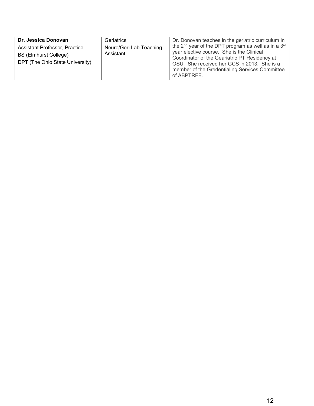| Dr. Jessica Donovan                                                                              | Geriatrics                           | Dr. Donovan teaches in the geriatric curriculum in                                                                                                                                                                                                                                        |
|--------------------------------------------------------------------------------------------------|--------------------------------------|-------------------------------------------------------------------------------------------------------------------------------------------------------------------------------------------------------------------------------------------------------------------------------------------|
| Assistant Professor, Practice<br><b>BS (Elmhurst College)</b><br>DPT (The Ohio State University) | Neuro/Geri Lab Teaching<br>Assistant | the 2 <sup>nd</sup> year of the DPT program as well as in a 3 <sup>rd</sup><br>year elective course. She is the Clinical<br>Coordinator of the Geariatric PT Residency at<br>OSU. She received her GCS in 2013. She is a<br>member of the Gredentialing Services Committee<br>of ABPTRFE. |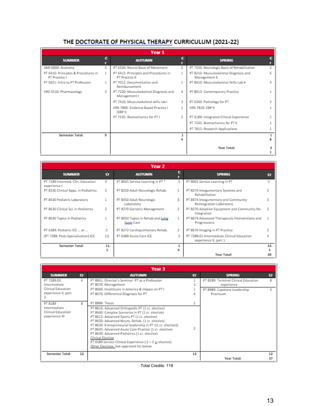### THE DOCTORATE OF PHYSICAL THERAPY CURRICULUM (2021-22)

|                                                      | Year 1 |                                                         |   |                                                         |   |  |  |  |
|------------------------------------------------------|--------|---------------------------------------------------------|---|---------------------------------------------------------|---|--|--|--|
| <b>SUMMER</b>                                        | c      | <b>AUTUMN</b>                                           | с | <b>SPRING</b>                                           | c |  |  |  |
| AMI 6000: Anatomy                                    | 5      | PT 6250: Neural Basis of Movement                       | 2 | PT 7250: Neurologic Basis of Rehabilitation             |   |  |  |  |
| PT 6410: Principles & Procedures in<br>PT Practice I |        | PT 6415: Principles and Procedures in<br>PT Practice II |   | PT 8210: Musculoskeletal Diagnosis and<br>Management II |   |  |  |  |
| PT 6021: Intro to PT Profession                      |        | PT 7012: Documentation and<br>Reimbursement             |   | PT 8410: Musculoskeletal Skills Lab II                  |   |  |  |  |
| HRS 5510: Pharmacology                               |        | PT 7220: Musculoskeletal Diagnosis and<br>Management I  | 4 | PT 8013: Contemporary Practice                          |   |  |  |  |
|                                                      |        | PT 7410: Musculoskeletal skills lab I                   | 3 | PT 6260: Pathology for PT                               |   |  |  |  |
|                                                      |        | HRS 7900: Evidence Based Practice I<br>(EBP I)          |   | HRS 7910: EBP II                                        |   |  |  |  |
|                                                      |        | PT 7235: Biomechanics for PT I                          |   | PT 6189: Integrated Clinical Experience                 |   |  |  |  |
|                                                      |        |                                                         |   | PT 7245: Biomechanics for PT II                         |   |  |  |  |
|                                                      |        |                                                         |   | PT 7915: Research Applications                          |   |  |  |  |
| Semester Total:                                      | 9      |                                                         |   |                                                         |   |  |  |  |
|                                                      |        |                                                         |   | Year Total:                                             |   |  |  |  |

|                                                   | Year 2   |                                               |        |                                                                     |     |  |  |  |
|---------------------------------------------------|----------|-----------------------------------------------|--------|---------------------------------------------------------------------|-----|--|--|--|
| <b>SUMMER</b>                                     | $\alpha$ | <b>AUTUMN</b>                                 | с<br>г | <b>SPRING</b>                                                       | Cr  |  |  |  |
| PT 7189 Intermed, Clin, Education<br>experience l | 4        | PT 8065 Service Learning in PT *              | .5     | PT 8065 Service Learning in PT                                      | .5  |  |  |  |
| PT 8230 Clinical Apps, in Pediatrics              | 3        | PT 8250 Adult Neurologic Rehab.               | 5      | PT 8274 Integumentary Systems and<br>Rehabilitation                 |     |  |  |  |
| PT 8430 Pediatric Laboratory                      |          | PT 8450 Adult Neurologic<br>Laboratory        | 3      | PT 8474 Integumentary and Community<br>Reintegration Laboratory     |     |  |  |  |
| PT 8630 Clinical Sci. in Pediatrics               | 2        | PT 8270 Geriatric Management                  | 2      | PT 8276 Adaptive Equipment and Community Re-<br>integration         | 2   |  |  |  |
| PT 8030 Topics in Pediatrics                      |          | PT 8050 Topics in Rehab and Long<br>Term Care |        | PT 8674 Advanced Therapeutic Interventions and<br>Progressions      |     |  |  |  |
| PT 6389: Pediatric ICE  or                        | .5       | PT 8272 Cardiopulmonary Rehab.                | 2      | PT 8670 Imaging in PT Practice                                      |     |  |  |  |
| $[1]$<br>[PT 7389: Peds Specialization] ICE       |          | PT 6489 Acute Care ICE                        | .5     | PT 7289.01 Intermediate Clinical Education<br>experience II, part 1 |     |  |  |  |
| Semester Total:                                   | 11.      |                                               |        |                                                                     | 14. |  |  |  |
|                                                   | 5        |                                               |        |                                                                     |     |  |  |  |
|                                                   |          |                                               |        | Year Total:                                                         |     |  |  |  |

|                                                                          |          | Year 3                                                                                                                                                                                                                                                                                                                                                                                                                                                                                                                               |          |                                                                                                 |          |
|--------------------------------------------------------------------------|----------|--------------------------------------------------------------------------------------------------------------------------------------------------------------------------------------------------------------------------------------------------------------------------------------------------------------------------------------------------------------------------------------------------------------------------------------------------------------------------------------------------------------------------------------|----------|-------------------------------------------------------------------------------------------------|----------|
| <b>SUMMER</b>                                                            | $\alpha$ | <b>AUTUMN</b>                                                                                                                                                                                                                                                                                                                                                                                                                                                                                                                        | $\alpha$ | <b>SPRING</b>                                                                                   | cr       |
| PT 7289.02:<br>Intermediate<br>Clinical Education<br>experience II, part | Δ        | PT 8061: Director's Seminar: PT as a Profession<br>PT 8070: Management<br>PT 8060: Healthcare in America & Impact on PT I<br>PT 8676: Differential Diagnosis for PT                                                                                                                                                                                                                                                                                                                                                                  |          | PT 8289: Terminal Clinical Education<br>experience<br>PT 8989: Capstone Leadership<br>Practicum | я        |
| PT 8189<br>Intermediate<br>Clinical Education<br>experience III          | R        | PT 8999: Thesis<br>PT 8610: Advanced Orthopedic PT (1 cr. elective)<br>PT 8640: Complex Scenarios in PT (1 cr. elective)<br>PT 8612: Advanced Sports PT (1 cr. elective)<br>PT 8650: Advanced Neuro. Rehab. (1 cr. elective)<br>PT 8620: Entrepreneurial leadership in PT ((1 cr. elective))<br>PT 8645: Advanced Acute Care Practice (1 cr. elective)<br>PT 8630: Advanced Pediatrics (1 cr. elective)<br>Clinical Elective<br>PT 6589 Service Clinical Experience (.5 - 2 cr elective)<br>Other Electives: See approved list below |          |                                                                                                 |          |
| Semester Total:                                                          | 12       |                                                                                                                                                                                                                                                                                                                                                                                                                                                                                                                                      | 13       | Year Total:                                                                                     | 12<br>37 |

Total Credits: 118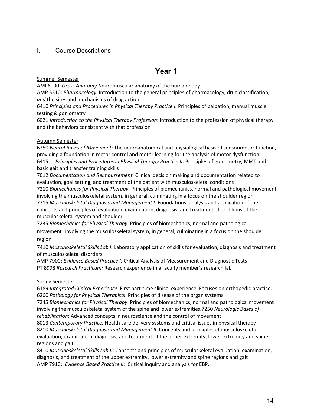#### <span id="page-13-0"></span>I. Course Descriptions

### **Year 1**

#### <span id="page-13-1"></span>Summer Semester

AMI 6000*: Gross Anatomy* Neuromuscular anatomy of the human body

AMP 5510: *Pharmacology* Introduction to the general principles of pharmacology, drug classification, *and* the sites and mechanisms of drug action

6410 *Principles and Procedures in Physical Therapy Practice I:* Principles of palpation, manual muscle testing & goniometry

6021 *Introduction to the Physical Therapy Profession*: Introduction to the profession of physical therapy and the behaviors consistent with that profession

#### Autumn Semester

6250 *Neural Bases of Movement*: The neuroanatomical and physiological basis of sensorimotor function, providing a foundation in motor control and motor learning for the analysis of motor dysfunction 6415 *Principles and Procedures in Physical Therapy Practice II*: Principles of goniometry, MMT and basic gait and transfer training skills

7012 *Documentation and Reimbursement*: Clinical decision making and documentation related to evaluation, goal setting, and treatment of the patient with musculoskeletal conditions 7210 *Biomechanics for Physical Therapy*: Principles of biomechanics, normal and pathological movement involving the musculoskeletal system, in general, culminating in a focus on the shoulder region 7215 *Musculoskeletal Diagnosis and Management I:* Foundations, analysis and application of the concepts and principles of evaluation, examination, diagnosis, and treatment of problems of the musculoskeletal system and shoulder

7235 *Biomechanics for Physical Therapy*: Principles of biomechanics, normal and pathological movement involving the musculoskeletal system, in general, culminating in a focus on the shoulder region

7410 *Musculoskeletal Skills Lab I:* Laboratory application of skills for evaluation, diagnosis and treatment of musculoskeletal disorders

AMP 7900: *Evidence Based Practice I:* Critical Analysis of Measurement and Diagnostic Tests PT 8998 *Research Practicum:* Research experience in a faculty member's research lab

#### Spring Semester

6189 *Integrated Clinical Experience*: First part-time clinical experience. Focuses on orthopedic practice. 6260 *Pathology for Physical Therapists*: Principles of disease of the organ systems

7245 *Biomechanics for Physical Therapy*: Principles of biomechanics, normal and pathological movement involving the musculoskeletal system of the spine and lower extremities.7250 *Neurologic Bases of rehabilitation*: Advanced concepts in neuroscience and the control of movement

8013 *Contemporary Practice:* Health care delivery systems and critical issues in physical therapy 8210 *Musculoskeletal Diagnosis and Management II*: Concepts and principles of musculoskeletal evaluation, examination, diagnosis, and treatment of the upper extremity, lower extremity and spine regions and gait

8410 *Musculoskeletal Skills Lab II*: Concepts and principles of musculoskeletal evaluation, examination, diagnosis, and treatment of the upper extremity, lower extremity and spine regions and gait AMP 7910: *Evidence Based Practice II:* Critical Inquiry and analysis for EBP.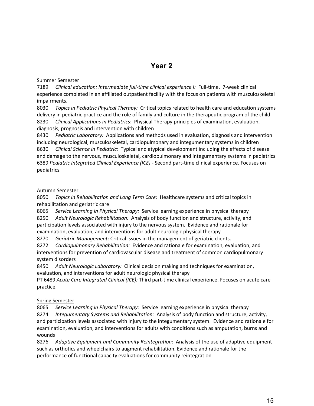### **Year 2**

#### <span id="page-14-0"></span>Summer Semester

7189 *Clinical education: Intermediate full-time clinical experience I:* Full-time, 7-week clinical experience completed in an affiliated outpatient facility with the focus on patients with musculoskeletal impairments.

8030 *Topics in Pediatric Physical Therapy:* Critical topics related to health care and education systems delivery in pediatric practice and the role of family and culture in the therapeutic program of the child 8230 *Clinical Applications in Pediatrics*: Physical Therapy principles of examination, evaluation, diagnosis, prognosis and intervention with children

8430 *Pediatric Laboratory:* Applications and methods used in evaluation, diagnosis and intervention including neurological, musculoskeletal, cardiopulmonary and integumentary systems in children 8630 *Clinical Science in Pediatric:* Typical and atypical development including the effects of disease and damage to the nervous, musculoskeletal, cardiopulmonary and integumentary systems in pediatrics 6389 *Pediatric Integrated Clinical Experience (ICE)* - Second part-time clinical experience. Focuses on pediatrics.

#### Autumn Semester

8050 *Topics in Rehabilitation and Long Term Care:* Healthcare systems and critical topics in rehabilitation and geriatric care

8065 *Service Learning in Physical Therapy:* Service learning experience in physical therapy

8250 *Adult Neurologic Rehabilitation:* Analysis of body function and structure, activity, and participation levels associated with injury to the nervous system. Evidence and rationale for examination, evaluation, and interventions for adult neurologic physical therapy

8270 *Geriatric Management*: Critical issues in the management of geriatric clients.

8272 *Cardiopulmonary Rehabilitation:* Evidence and rationale for examination, evaluation, and interventions for prevention of cardiovascular disease and treatment of common cardiopulmonary system disorders

8450 *Adult Neurologic Laboratory:* Clinical decision making and techniques for examination, evaluation, and interventions for adult neurologic physical therapy

PT 6489 *Acute Care Integrated Clinical (ICE):* Third part-time clinical experience. Focuses on acute care practice.

#### Spring Semester

8065 *Service Learning in Physical Therapy:* Service learning experience in physical therapy 8274 *Integumentary Systems and Rehabilitation:* Analysis of body function and structure, activity, and participation levels associated with injury to the integumentary system. Evidence and rationale for examination, evaluation, and interventions for adults with conditions such as amputation, burns and wounds

8276 *Adaptive Equipment and Community Reintegration:* Analysis of the use of adaptive equipment such as orthotics and wheelchairs to augment rehabilitation. Evidence and rationale for the performance of functional capacity evaluations for community reintegration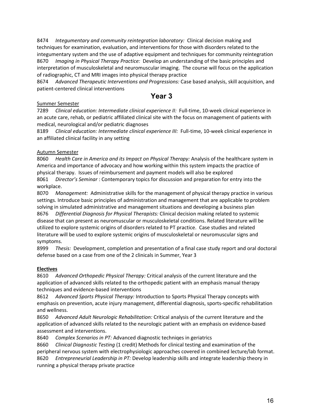8474 *Integumentary and community reintegration laboratory:* Clinical decision making and techniques for examination, evaluation, and interventions for those with disorders related to the integumentary system and the use of adaptive equipment and techniques for community reintegration 8670 *Imaging in Physical Therapy Practice:* Develop an understanding of the basic principles and interpretation of musculoskeletal and neuromuscular imaging. The course will focus on the application of radiographic, CT and MRI images into physical therapy practice

8674 *Advanced Therapeutic Interventions and Progressions:* Case based analysis, skill acquisition, and patient-centered clinical interventions

### **Year 3**

#### <span id="page-15-0"></span>Summer Semester

7289 *Clinical education: Intermediate clinical experience II:* Full-time, 10-week clinical experience in an acute care, rehab, or pediatric affiliated clinical site with the focus on management of patients with medical, neurological and/or pediatric diagnoses

8189 *Clinical education: Intermediate clinical experience III:* Full-time, 10-week clinical experience in an affiliated clinical facility in any setting

#### Autumn Semester

8060 *Health Care in America and its Impact on Physical Therapy:* Analysis of the healthcare system in America and importance of advocacy and how working within this system impacts the practice of physical therapy. Issues of reimbursement and payment models will also be explored 8061 *Director's Seminar* : Contemporary topics for discussion and preparation for entry into the workplace.

8070 *Management:* Administrative skills for the management of physical therapy practice in various settings. Introduce basic principles of administration and management that are applicable to problem solving in simulated administrative and management situations and developing a business plan 8676 *Differential Diagnosis for Physical Therapists:* Clinical decision making related to systemic disease that can present as neuromuscular or musculoskeletal conditions. Related literature will be utilized to explore systemic origins of disorders related to PT practice. Case studies and related literature will be used to explore systemic origins of musculoskeletal or neuromuscular signs and symptoms.

8999 *Thesis:* Development, completion and presentation of a final case study report and oral doctoral defense based on a case from one of the 2 clinicals in Summer, Year 3

#### **Electives**

8610 *Advanced Orthopedic Physical Therapy:* Critical analysis of the current literature and the application of advanced skills related to the orthopedic patient with an emphasis manual therapy techniques and evidence-based interventions

8612 *Advanced Sports Physical Therapy:* Introduction to Sports Physical Therapy concepts with emphasis on prevention, acute injury management, differential diagnosis, sports-specific rehabilitation and wellness.

8650 *Advanced Adult Neurologic Rehabilitation:* Critical analysis of the current literature and the application of advanced skills related to the neurologic patient with an emphasis on evidence-based assessment and interventions.

8640 *Complex Scenarios in PT:* Advanced diagnostic techniqes in geriatrics

8660 *Clinical Diagnostic Testing* (1 credit) Methods for clinical testing and examination of the peripheral nervous system with electrophysiologic approaches covered in combined lecture/lab format. 8620 *Entrepreneurial Leadership in PT:* Develop leadership skills and integrate leadership theory in running a physical therapy private practice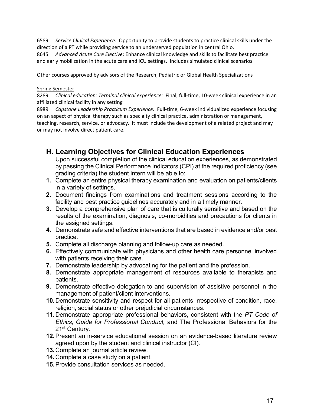6589 *Service Clinical Experience:* Opportunity to provide students to practice clinical skills under the direction of a PT while providing service to an underserved population in central Ohio.

8645 *Advanced Acute Care Elective*: Enhance clinical knowledge and skills to facilitate best practice and early mobilization in the acute care and ICU settings. Includes simulated clinical scenarios.

Other courses approved by advisors of the Research, Pediatric or Global Health Specializations

#### Spring Semester

8289 *Clinical education: Terminal clinical experience:* Final, full-time, 10-week clinical experience in an affiliated clinical facility in any setting

8989 *Capstone Leadership Practicum Experience:* Full-time, 6-week individualized experience focusing on an aspect of physical therapy such as specialty clinical practice, administration or management, teaching, research, service, or advocacy. It must include the development of a related project and may or may not involve direct patient care.

### <span id="page-16-0"></span>**H. Learning Objectives for Clinical Education Experiences**

Upon successful completion of the clinical education experiences, as demonstrated by passing the Clinical Performance Indicators (CPI) at the required proficiency (see grading criteria) the student intern will be able to:

- **1.** Complete an entire physical therapy examination and evaluation on patients/clients in a variety of settings.
- **2.** Document findings from examinations and treatment sessions according to the facility and best practice guidelines accurately and in a timely manner.
- **3.** Develop a comprehensive plan of care that is culturally sensitive and based on the results of the examination, diagnosis, co-morbidities and precautions for clients in the assigned settings.
- **4.** Demonstrate safe and effective interventions that are based in evidence and/or best practice.
- **5.** Complete all discharge planning and follow-up care as needed.
- **6.** Effectively communicate with physicians and other health care personnel involved with patients receiving their care.
- **7.** Demonstrate leadership by advocating for the patient and the profession.
- **8.** Demonstrate appropriate management of resources available to therapists and patients.
- **9.** Demonstrate effective delegation to and supervision of assistive personnel in the management of patient/client interventions.
- **10.**Demonstrate sensitivity and respect for all patients irrespective of condition, race, religion, social status or other prejudicial circumstances.
- **11.**Demonstrate appropriate professional behaviors, consistent with the *PT Code of Ethics, Guide for Professional Conduct,* and The Professional Behaviors for the 21<sup>st</sup> Century.
- **12.**Present an in-service educational session on an evidence-based literature review agreed upon by the student and clinical instructor (CI).
- **13.**Complete an journal article review.
- **14.**Complete a case study on a patient.
- **15.**Provide consultation services as needed.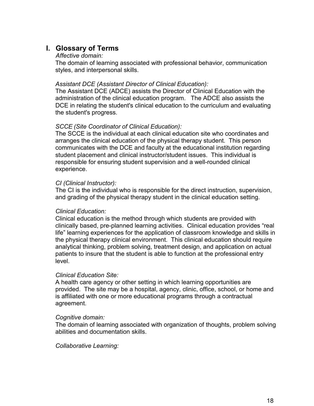### <span id="page-17-0"></span>**I. Glossary of Terms**

#### *Affective domain:*

The domain of learning associated with professional behavior, communication styles, and interpersonal skills.

#### *Assistant DCE (Assistant Director of Clinical Education):*

The Assistant DCE (ADCE) assists the Director of Clinical Education with the administration of the clinical education program. The ADCE also assists the DCE in relating the student's clinical education to the curriculum and evaluating the student's progress.

#### *SCCE (Site Coordinator of Clinical Education):*

The SCCE is the individual at each clinical education site who coordinates and arranges the clinical education of the physical therapy student. This person communicates with the DCE and faculty at the educational institution regarding student placement and clinical instructor/student issues. This individual is responsible for ensuring student supervision and a well-rounded clinical experience.

#### *CI (Clinical Instructor):*

The CI is the individual who is responsible for the direct instruction, supervision, and grading of the physical therapy student in the clinical education setting.

#### *Clinical Education:*

Clinical education is the method through which students are provided with clinically based, pre-planned learning activities. Clinical education provides "real life" learning experiences for the application of classroom knowledge and skills in the physical therapy clinical environment. This clinical education should require analytical thinking, problem solving, treatment design, and application on actual patients to insure that the student is able to function at the professional entry level.

#### *Clinical Education Site:*

A health care agency or other setting in which learning opportunities are provided. The site may be a hospital, agency, clinic, office, school, or home and is affiliated with one or more educational programs through a contractual agreement.

#### *Cognitive domain:*

The domain of learning associated with organization of thoughts, problem solving abilities and documentation skills.

#### *Collaborative Learning:*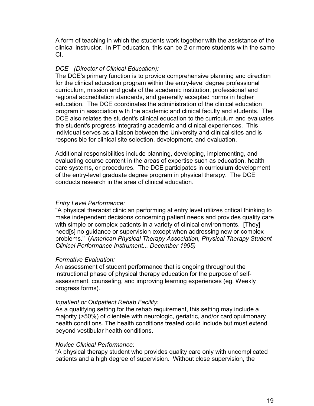A form of teaching in which the students work together with the assistance of the clinical instructor. In PT education, this can be 2 or more students with the same CI.

### *DCE (Director of Clinical Education):*

The DCE's primary function is to provide comprehensive planning and direction for the clinical education program within the entry-level degree professional curriculum, mission and goals of the academic institution, professional and regional accreditation standards, and generally accepted norms in higher education. The DCE coordinates the administration of the clinical education program in association with the academic and clinical faculty and students. The DCE also relates the student's clinical education to the curriculum and evaluates the student's progress integrating academic and clinical experiences. This individual serves as a liaison between the University and clinical sites and is responsible for clinical site selection, development, and evaluation.

Additional responsibilities include planning, developing, implementing, and evaluating course content in the areas of expertise such as education, health care systems, or procedures. The DCE participates in curriculum development of the entry-level graduate degree program in physical therapy. The DCE conducts research in the area of clinical education.

#### *Entry Level Performance:*

"A physical therapist clinician performing at entry level utilizes critical thinking to make independent decisions concerning patient needs and provides quality care with simple or complex patients in a variety of clinical environments. [They] need[s] no guidance or supervision except when addressing new or complex problems." (*American Physical Therapy Association, Physical Therapy Student Clinical Performance Instrument... December 1995)*

#### *Formative Evaluation:*

An assessment of student performance that is ongoing throughout the instructional phase of physical therapy education for the purpose of selfassessment, counseling, and improving learning experiences (eg. Weekly progress forms).

#### *Inpatient or Outpatient Rehab Facility*:

As a qualifying setting for the rehab requirement, this setting may include a majority (>50%) of clientele with neurologic, geriatric, and/or cardiopulmonary health conditions. The health conditions treated could include but must extend beyond vestibular health conditions.

#### *Novice Clinical Performance:*

"A physical therapy student who provides quality care only with uncomplicated patients and a high degree of supervision. Without close supervision, the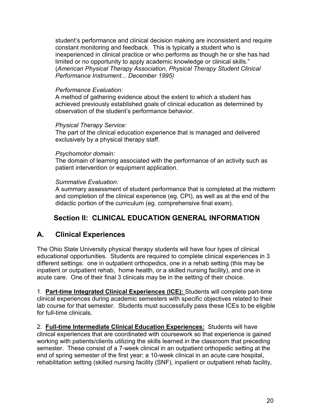student's performance and clinical decision making are inconsistent and require constant monitoring and feedback. This is typically a student who is inexperienced in clinical practice or who performs as though he or she has had limited or no opportunity to apply academic knowledge or clinical skills." (*American Physical Therapy Association, Physical Therapy Student Clinical Performance Instrument... December 1995)*

### *Performance Evaluation:*

A method of gathering evidence about the extent to which a student has achieved previously established goals of clinical education as determined by observation of the student's performance behavior.

#### *Physical Therapy Service:*

The part of the clinical education experience that is managed and delivered exclusively by a physical therapy staff.

### *Psychomotor domain:*

The domain of learning associated with the performance of an activity such as patient intervention or equipment application.

### *Summative Evaluation:*

A summary assessment of student performance that is completed at the midterm and completion of the clinical experience (eg. CPI), as well as at the end of the didactic portion of the curriculum (eg. comprehensive final exam).

### **Section II: CLINICAL EDUCATION GENERAL INFORMATION**

### <span id="page-19-1"></span><span id="page-19-0"></span>**A. Clinical Experiences**

The Ohio State University physical therapy students will have four types of clinical educational opportunities. Students are required to complete clinical experiences in 3 different settings: one in outpatient orthopedics, one in a rehab setting (this may be inpatient or outpatient rehab, home health, or a skilled nursing facility), and one in acute care. One of their final 3 clinicals may be in the setting of their choice.

1. **Part-time Integrated Clinical Experiences (ICE):** Students will complete part-time clinical experiences during academic semesters with specific objectives related to their lab course for that semester. Students must successfully pass these ICEs to be eligible for full-time clinicals.

2. **Full-time Intermediate Clinical Education Experiences:** Students will have clinical experiences that are coordinated with coursework so that experience is gained working with patients/clients utilizing the skills learned in the classroom that preceding semester. These consist of a 7-week clinical in an outpatient orthopedic setting at the end of spring semester of the first year; a 10-week clinical in an acute care hospital, rehabilitation setting (skilled nursing facility (SNF), inpatient or outpatient rehab facility,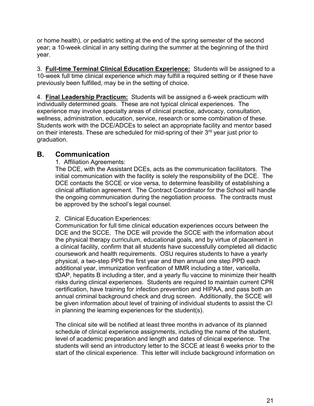or home health), or pediatric setting at the end of the spring semester of the second year; a 10-week clinical in any setting during the summer at the beginning of the third year.

3. **Full-time Terminal Clinical Education Experience:** Students will be assigned to a 10-week full time clinical experience which may fulfill a required setting or if these have previously been fulfilled, may be in the setting of choice.

4. **Final Leadership Practicum:** Students will be assigned a 6-week practicum with individually determined goals. These are not typical clinical experiences. The experience may involve specialty areas of clinical practice, advocacy, consultation, wellness, administration, education, service, research or some combination of these. Students work with the DCE/ADCEs to select an appropriate facility and mentor based on their interests. These are scheduled for mid-spring of their  $3<sup>rd</sup>$  year just prior to graduation.

### <span id="page-20-0"></span>**B. Communication**

1. Affiliation Agreements:

The DCE, with the Assistant DCEs, acts as the communication facilitators. The initial communication with the facility is solely the responsibility of the DCE. The DCE contacts the SCCE or vice versa, to determine feasibility of establishing a clinical affiliation agreement. The Contract Coordinator for the School will handle the ongoing communication during the negotiation process. The contracts must be approved by the school's legal counsel.

2. Clinical Education Experiences:

Communication for full time clinical education experiences occurs between the DCE and the SCCE. The DCE will provide the SCCE with the information about the physical therapy curriculum, educational goals, and by virtue of placement in a clinical facility, confirm that all students have successfully completed all didactic coursework and health requirements. OSU requires students to have a yearly physical, a two-step PPD the first year and then annual one step PPD each additional year, immunization verification of MMR including a titer, varicella, tDAP, hepatits B including a titer, and a yearly flu vaccine to minimize their health risks during clinical experiences. Students are required to maintain current CPR certification, have training for infection prevention and HIPAA, and pass both an annual criminal background check and drug screen. Additionally, the SCCE will be given information about level of training of individual students to assist the CI in planning the learning experiences for the student(s).

The clinical site will be notified at least three months in advance of its planned schedule of clinical experience assignments, including the name of the student, level of academic preparation and length and dates of clinical experience. The students will send an introductory letter to the SCCE at least 6 weeks prior to the start of the clinical experience. This letter will include background information on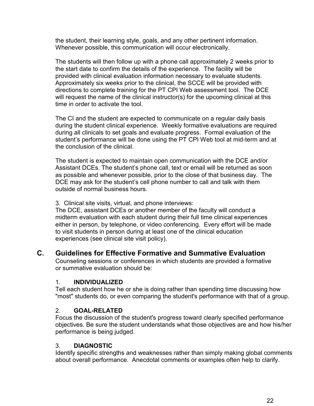the student, their learning style, goals, and any other pertinent information. Whenever possible, this communication will occur electronically.

The students will then follow up with a phone call approximately 2 weeks prior to the start date to confirm the details of the experience. The facility will be provided with clinical evaluation information necessary to evaluate students. Approximately six weeks prior to the clinical, the SCCE will be provided with directions to complete training for the PT CPI Web assessment tool. The DCE will request the name of the clinical instructor(s) for the upcoming clinical at this time in order to activate the tool.

The CI and the student are expected to communicate on a regular daily basis during the student clinical experience. Weekly formative evaluations are required during all clinicals to set goals and evaluate progress. Formal evaluation of the student's performance will be done using the PT CPI Web tool at mid-term and at the conclusion of the clinical.

The student is expected to maintain open communication with the DCE and/or Assistant DCEs. The student's phone call, text or email will be returned as soon as possible and whenever possible, prior to the close of that business day. The DCE may ask for the student's cell phone number to call and talk with them outside of normal business hours.

3. Clinical site visits, virtual, and phone interviews:

The DCE, assistant DCEs or another member of the faculty will conduct a midterm evaluation with each student during their full time clinical experiences either in person, by telephone, or video conferencing. Every effort will be made to visit students in person during at least one of the clinical education experiences (see clinical site visit policy).

<span id="page-21-0"></span>**C. Guidelines for Effective Formative and Summative Evaluation**

Counseling sessions or conferences in which students are provided a formative or summative evaluation should be:

### 1. **INDIVIDUALIZED**

Tell each student how he or she is doing rather than spending time discussing how "most" students do, or even comparing the student's performance with that of a group.

### 2. **GOAL-RELATED**

Focus the discussion of the student's progress toward clearly specified performance objectives. Be sure the student understands what those objectives are and how his/her performance is being judged.

### 3. **DIAGNOSTIC**

Identify specific strengths and weaknesses rather than simply making global comments about overall performance. Anecdotal comments or examples often help to clarify.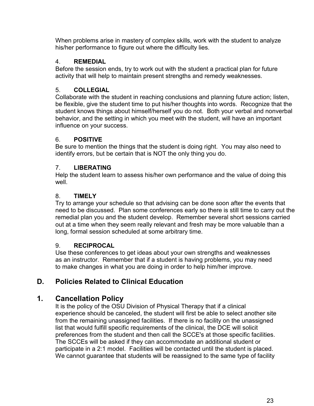When problems arise in mastery of complex skills, work with the student to analyze his/her performance to figure out where the difficulty lies.

### 4. **REMEDIAL**

Before the session ends, try to work out with the student a practical plan for future activity that will help to maintain present strengths and remedy weaknesses.

### 5. **COLLEGIAL**

Collaborate with the student in reaching conclusions and planning future action; listen, be flexible, give the student time to put his/her thoughts into words. Recognize that the student knows things about himself/herself you do not. Both your verbal and nonverbal behavior, and the setting in which you meet with the student, will have an important influence on your success.

### 6. **POSITIVE**

Be sure to mention the things that the student is doing right. You may also need to identify errors, but be certain that is NOT the only thing you do.

### 7. **LIBERATING**

Help the student learn to assess his/her own performance and the value of doing this well.

### 8. **TIMELY**

Try to arrange your schedule so that advising can be done soon after the events that need to be discussed. Plan some conferences early so there is still time to carry out the remedial plan you and the student develop. Remember several short sessions carried out at a time when they seem really relevant and fresh may be more valuable than a long, formal session scheduled at some arbitrary time.

### 9. **RECIPROCAL**

Use these conferences to get ideas about your own strengths and weaknesses as an instructor. Remember that if a student is having problems, you may need to make changes in what you are doing in order to help him/her improve.

### <span id="page-22-0"></span>**D. Policies Related to Clinical Education**

### <span id="page-22-1"></span>**1. Cancellation Policy**

It is the policy of the OSU Division of Physical Therapy that if a clinical experience should be canceled, the student will first be able to select another site from the remaining unassigned facilities. If there is no facility on the unassigned list that would fulfill specific requirements of the clinical, the DCE will solicit preferences from the student and then call the SCCE's at those specific facilities. The SCCEs will be asked if they can accommodate an additional student or participate in a 2:1 model. Facilities will be contacted until the student is placed. We cannot guarantee that students will be reassigned to the same type of facility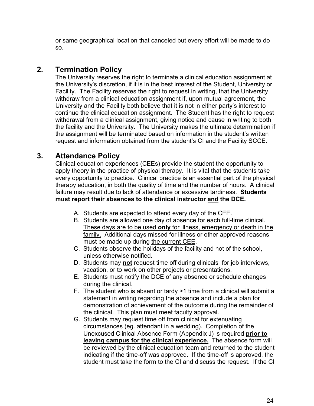or same geographical location that canceled but every effort will be made to do so.

### <span id="page-23-0"></span>**2. Termination Policy**

The University reserves the right to terminate a clinical education assignment at the University's discretion, if it is in the best interest of the Student, University or Facility. The Facility reserves the right to request in writing, that the University withdraw from a clinical education assignment if, upon mutual agreement, the University and the Facility both believe that it is not in either party's interest to continue the clinical education assignment. The Student has the right to request withdrawal from a clinical assignment, giving notice and cause in writing to both the facility and the University. The University makes the ultimate determination if the assignment will be terminated based on information in the student's written request and information obtained from the student's CI and the Facility SCCE.

### <span id="page-23-1"></span>**3. Attendance Policy**

Clinical education experiences (CEEs) provide the student the opportunity to apply theory in the practice of physical therapy. It is vital that the students take every opportunity to practice. Clinical practice is an essential part of the physical therapy education, in both the quality of time and the number of hours. A clinical failure may result due to lack of attendance or excessive tardiness. **Students must report their absences to the clinical instructor and the DCE.**

- A. Students are expected to attend every day of the CEE.
- B. Students are allowed one day of absence for each full-time clinical. These days are to be used **only** for illness, emergency or death in the family. Additional days missed for illness or other approved reasons must be made up during the current CEE.
- C. Students observe the holidays of the facility and not of the school, unless otherwise notified.
- D. Students may **not** request time off during clinicals for job interviews, vacation, or to work on other projects or presentations.
- E. Students must notify the DCE of any absence or schedule changes during the clinical.
- F. The student who is absent or tardy >1 time from a clinical will submit a statement in writing regarding the absence and include a plan for demonstration of achievement of the outcome during the remainder of the clinical. This plan must meet faculty approval.
- G. Students may request time off from clinical for extenuating circumstances (eg. attendant in a wedding). Completion of the Unexcused Clinical Absence Form (Appendix J) is required **prior to leaving campus for the clinical experience.** The absence form will be reviewed by the clinical education team and returned to the student indicating if the time-off was approved. If the time-off is approved, the student must take the form to the CI and discuss the request. If the CI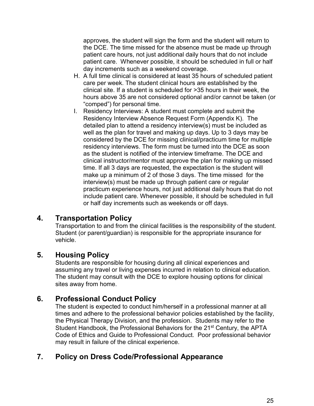approves, the student will sign the form and the student will return to the DCE. The time missed for the absence must be made up through patient care hours, not just additional daily hours that do not include patient care. Whenever possible, it should be scheduled in full or half day increments such as a weekend coverage.

- H. A full time clinical is considered at least 35 hours of scheduled patient care per week. The student clinical hours are established by the clinical site. If a student is scheduled for >35 hours in their week, the hours above 35 are not considered optional and/or cannot be taken (or "comped") for personal time.
- I. Residency Interviews: A student must complete and submit the Residency Interview Absence Request Form (Appendix K). The detailed plan to attend a residency interview(s) must be included as well as the plan for travel and making up days. Up to 3 days may be considered by the DCE for missing clinical/practicum time for multiple residency interviews. The form must be turned into the DCE as soon as the student is notified of the interview timeframe. The DCE and clinical instructor/mentor must approve the plan for making up missed time. If all 3 days are requested, the expectation is the student will make up a minimum of 2 of those 3 days. The time missed for the interview(s) must be made up through patient care or regular practicum experience hours, not just additional daily hours that do not include patient care. Whenever possible, it should be scheduled in full or half day increments such as weekends or off days.

### <span id="page-24-0"></span>**4. Transportation Policy**

Transportation to and from the clinical facilities is the responsibility of the student. Student (or parent/guardian) is responsible for the appropriate insurance for vehicle.

### <span id="page-24-1"></span>**5. Housing Policy**

Students are responsible for housing during all clinical experiences and assuming any travel or living expenses incurred in relation to clinical education. The student may consult with the DCE to explore housing options for clinical sites away from home.

### <span id="page-24-2"></span>**6. Professional Conduct Policy**

The student is expected to conduct him/herself in a professional manner at all times and adhere to the professional behavior policies established by the facility, the Physical Therapy Division, and the profession. Students may refer to the Student Handbook, the Professional Behaviors for the 21<sup>st</sup> Century, the APTA Code of Ethics and Guide to Professional Conduct. Poor professional behavior may result in failure of the clinical experience.

### <span id="page-24-3"></span>**7. Policy on Dress Code/Professional Appearance**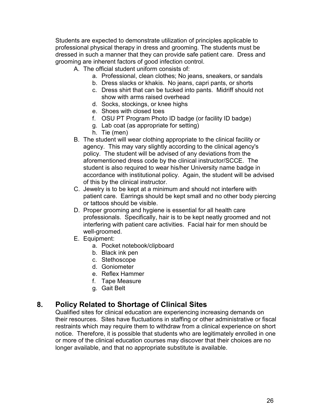Students are expected to demonstrate utilization of principles applicable to professional physical therapy in dress and grooming. The students must be dressed in such a manner that they can provide safe patient care. Dress and grooming are inherent factors of good infection control.

- A. The official student uniform consists of:
	- a. Professional, clean clothes; No jeans, sneakers, or sandals
	- b. Dress slacks or khakis. No jeans, capri pants, or shorts
	- c. Dress shirt that can be tucked into pants. Midriff should not show with arms raised overhead
	- d. Socks, stockings, or knee highs
	- e. Shoes with closed toes
	- f. OSU PT Program Photo ID badge (or facility ID badge)
	- g. Lab coat (as appropriate for setting)
	- h. Tie (men)
- B. The student will wear clothing appropriate to the clinical facility or agency. This may vary slightly according to the clinical agency's policy. The student will be advised of any deviations from the aforementioned dress code by the clinical instructor/SCCE. The student is also required to wear his/her University name badge in accordance with institutional policy. Again, the student will be advised of this by the clinical instructor.
- C. Jewelry is to be kept at a minimum and should not interfere with patient care. Earrings should be kept small and no other body piercing or tattoos should be visible.
- D. Proper grooming and hygiene is essential for all health care professionals. Specifically, hair is to be kept neatly groomed and not interfering with patient care activities. Facial hair for men should be well-groomed.
- E. Equipment:
	- a. Pocket notebook/clipboard
	- b. Black ink pen
	- c. Stethoscope
	- d. Goniometer
	- e. Reflex Hammer
	- f. Tape Measure
	- g. Gait Belt

### <span id="page-25-0"></span>**8. Policy Related to Shortage of Clinical Sites**

Qualified sites for clinical education are experiencing increasing demands on their resources. Sites have fluctuations in staffing or other administrative or fiscal restraints which may require them to withdraw from a clinical experience on short notice. Therefore, it is possible that students who are legitimately enrolled in one or more of the clinical education courses may discover that their choices are no longer available, and that no appropriate substitute is available.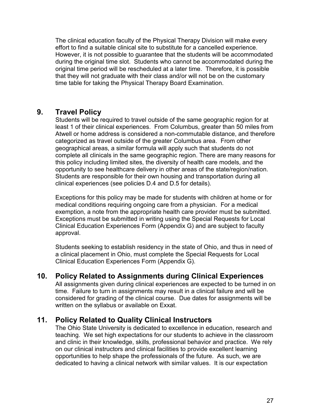The clinical education faculty of the Physical Therapy Division will make every effort to find a suitable clinical site to substitute for a cancelled experience. However, it is not possible to guarantee that the students will be accommodated during the original time slot. Students who cannot be accommodated during the original time period will be rescheduled at a later time. Therefore, it is possible that they will not graduate with their class and/or will not be on the customary time table for taking the Physical Therapy Board Examination.

### <span id="page-26-0"></span>**9. Travel Policy**

Students will be required to travel outside of the same geographic region for at least 1 of their clinical experiences. From Columbus, greater than 50 miles from Atwell or home address is considered a non-commutable distance, and therefore categorized as travel outside of the greater Columbus area. From other geographical areas, a similar formula will apply such that students do not complete all clinicals in the same geographic region. There are many reasons for this policy including limited sites, the diversity of health care models, and the opportunity to see healthcare delivery in other areas of the state/region/nation. Students are responsible for their own housing and transportation during all clinical experiences (see policies D.4 and D.5 for details).

Exceptions for this policy may be made for students with children at home or for medical conditions requiring ongoing care from a physician. For a medical exemption, a note from the appropriate health care provider must be submitted. Exceptions must be submitted in writing using the Special Requests for Local Clinical Education Experiences Form (Appendix G) and are subject to faculty approval.

Students seeking to establish residency in the state of Ohio, and thus in need of a clinical placement in Ohio, must complete the Special Requests for Local Clinical Education Experiences Form (Appendix G).

### <span id="page-26-1"></span>**10. Policy Related to Assignments during Clinical Experiences**

All assignments given during clinical experiences are expected to be turned in on time. Failure to turn in assignments may result in a clinical failure and will be considered for grading of the clinical course. Due dates for assignments will be written on the syllabus or available on Exxat.

### <span id="page-26-2"></span>**11. Policy Related to Quality Clinical Instructors**

The Ohio State University is dedicated to excellence in education, research and teaching. We set high expectations for our students to achieve in the classroom and clinic in their knowledge, skills, professional behavior and practice. We rely on our clinical instructors and clinical facilities to provide excellent learning opportunities to help shape the professionals of the future. As such, we are dedicated to having a clinical network with similar values. It is our expectation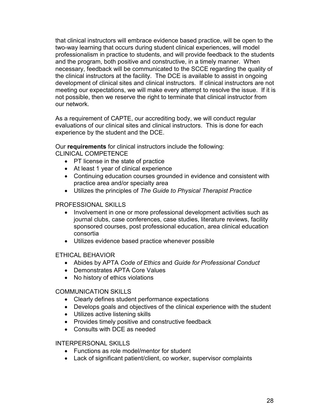that clinical instructors will embrace evidence based practice, will be open to the two-way learning that occurs during student clinical experiences, will model professionalism in practice to students, and will provide feedback to the students and the program, both positive and constructive, in a timely manner. When necessary, feedback will be communicated to the SCCE regarding the quality of the clinical instructors at the facility. The DCE is available to assist in ongoing development of clinical sites and clinical instructors. If clinical instructors are not meeting our expectations, we will make every attempt to resolve the issue. If it is not possible, then we reserve the right to terminate that clinical instructor from our network.

As a requirement of CAPTE, our accrediting body, we will conduct regular evaluations of our clinical sites and clinical instructors. This is done for each experience by the student and the DCE.

Our **requirements** for clinical instructors include the following: CLINICAL COMPETENCE

- PT license in the state of practice
- At least 1 year of clinical experience
- Continuing education courses grounded in evidence and consistent with practice area and/or specialty area
- Utilizes the principles of *The Guide to Physical Therapist Practice*

#### PROFESSIONAL SKILLS

- Involvement in one or more professional development activities such as journal clubs, case conferences, case studies, literature reviews, facility sponsored courses, post professional education, area clinical education consortia
- Utilizes evidence based practice whenever possible

### ETHICAL BEHAVIOR

- Abides by APTA *Code of Ethics* and *Guide for Professional Conduct*
- Demonstrates APTA Core Values
- No history of ethics violations

### COMMUNICATION SKILLS

- Clearly defines student performance expectations
- Develops goals and objectives of the clinical experience with the student
- Utilizes active listening skills
- Provides timely positive and constructive feedback
- Consults with DCE as needed

#### INTERPERSONAL SKILLS

- Functions as role model/mentor for student
- Lack of significant patient/client, co worker, supervisor complaints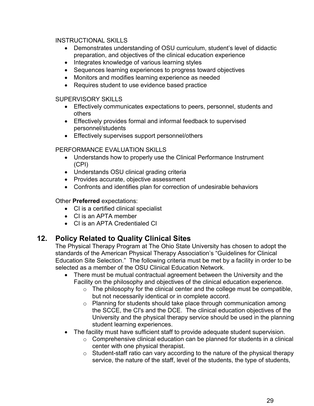### INSTRUCTIONAL SKILLS

- Demonstrates understanding of OSU curriculum, student's level of didactic preparation, and objectives of the clinical education experience
- Integrates knowledge of various learning styles
- Sequences learning experiences to progress toward objectives
- Monitors and modifies learning experience as needed
- Requires student to use evidence based practice

### SUPERVISORY SKILLS

- Effectively communicates expectations to peers, personnel, students and others
- Effectively provides formal and informal feedback to supervised personnel/students
- Effectively supervises support personnel/others

### PERFORMANCE EVALUATION SKILLS

- Understands how to properly use the Clinical Performance Instrument (CPI)
- Understands OSU clinical grading criteria
- Provides accurate, objective assessment
- Confronts and identifies plan for correction of undesirable behaviors

### Other **Preferred** expectations:

- CI is a certified clinical specialist
- CI is an APTA member
- CI is an APTA Credentialed CI

### <span id="page-28-0"></span>**12. Policy Related to Quality Clinical Sites**

The Physical Therapy Program at The Ohio State University has chosen to adopt the standards of the American Physical Therapy Association's "Guidelines for Clinical Education Site Selection." The following criteria must be met by a facility in order to be selected as a member of the OSU Clinical Education Network.

- There must be mutual contractual agreement between the University and the Facility on the philosophy and objectives of the clinical education experience.
	- $\circ$  The philosophy for the clinical center and the college must be compatible, but not necessarily identical or in complete accord.
	- o Planning for students should take place through communication among the SCCE, the CI's and the DCE. The clinical education objectives of the University and the physical therapy service should be used in the planning student learning experiences.
- The facility must have sufficient staff to provide adequate student supervision.
	- $\circ$  Comprehensive clinical education can be planned for students in a clinical center with one physical therapist.
	- o Student-staff ratio can vary according to the nature of the physical therapy service, the nature of the staff, level of the students, the type of students,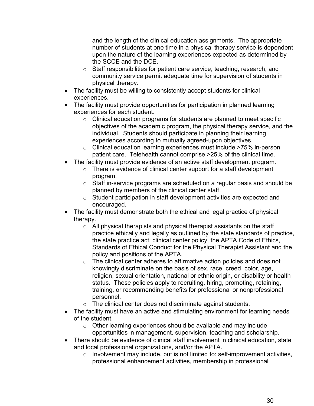and the length of the clinical education assignments. The appropriate number of students at one time in a physical therapy service is dependent upon the nature of the learning experiences expected as determined by the SCCE and the DCE.

- o Staff responsibilities for patient care service, teaching, research, and community service permit adequate time for supervision of students in physical therapy.
- The facility must be willing to consistently accept students for clinical experiences.
- The facility must provide opportunities for participation in planned learning experiences for each student.
	- o Clinical education programs for students are planned to meet specific objectives of the academic program, the physical therapy service, and the individual. Students should participate in planning their learning experiences according to mutually agreed-upon objectives.
	- o Clinical education learning experiences must include >75% in-person patient care. Telehealth cannot comprise >25% of the clinical time.
- The facility must provide evidence of an active staff development program.
	- o There is evidence of clinical center support for a staff development program.
	- o Staff in-service programs are scheduled on a regular basis and should be planned by members of the clinical center staff.
	- o Student participation in staff development activities are expected and encouraged.
- The facility must demonstrate both the ethical and legal practice of physical therapy.
	- o All physical therapists and physical therapist assistants on the staff practice ethically and legally as outlined by the state standards of practice, the state practice act, clinical center policy, the APTA Code of Ethics, Standards of Ethical Conduct for the Physical Therapist Assistant and the policy and positions of the APTA.
	- $\circ$  The clinical center adheres to affirmative action policies and does not knowingly discriminate on the basis of sex, race, creed, color, age, religion, sexual orientation, national or ethnic origin, or disability or health status. These policies apply to recruiting, hiring, promoting, retaining, training, or recommending benefits for professional or nonprofessional personnel.
	- $\circ$  The clinical center does not discriminate against students.
- The facility must have an active and stimulating environment for learning needs of the student.
	- o Other learning experiences should be available and may include opportunities in management, supervision, teaching and scholarship.
- There should be evidence of clinical staff involvement in clinical education, state and local professional organizations, and/or the APTA.
	- $\circ$  Involvement may include, but is not limited to: self-improvement activities, professional enhancement activities, membership in professional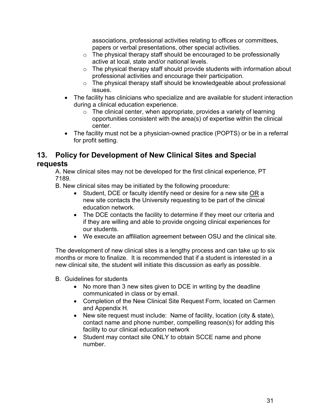associations, professional activities relating to offices or committees, papers or verbal presentations, other special activities.

- $\circ$  The physical therapy staff should be encouraged to be professionally active at local, state and/or national levels.
- o The physical therapy staff should provide students with information about professional activities and encourage their participation.
- o The physical therapy staff should be knowledgeable about professional issues.
- The facility has clinicians who specialize and are available for student interaction during a clinical education experience.
	- $\circ$  The clinical center, when appropriate, provides a variety of learning opportunities consistent with the area(s) of expertise within the clinical center.
- The facility must not be a physician-owned practice (POPTS) or be in a referral for profit setting.

### <span id="page-30-0"></span>**13. Policy for Development of New Clinical Sites and Special requests**

A. New clinical sites may not be developed for the first clinical experience, PT 7189.

B. New clinical sites may be initiated by the following procedure:

- Student, DCE or faculty identify need or desire for a new site OR a new site contacts the University requesting to be part of the clinical education network.
- The DCE contacts the facility to determine if they meet our criteria and if they are willing and able to provide ongoing clinical experiences for our students.
- We execute an affiliation agreement between OSU and the clinical site.

The development of new clinical sites is a lengthy process and can take up to six months or more to finalize. It is recommended that if a student is interested in a new clinical site, the student will initiate this discussion as early as possible.

- B. Guidelines for students
	- No more than 3 new sites given to DCE in writing by the deadline communicated in class or by email.
	- Completion of the New Clinical Site Request Form, located on Carmen and Appendix H.
	- New site request must include: Name of facility, location (city & state), contact name and phone number, compelling reason(s) for adding this facility to our clinical education network
	- Student may contact site ONLY to obtain SCCE name and phone number.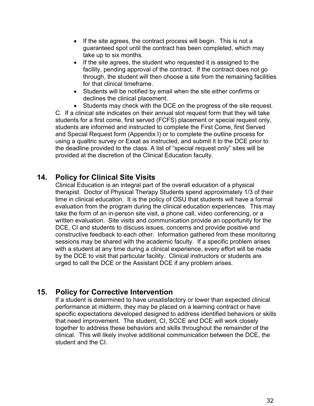- If the site agrees, the contract process will begin. This is not a guaranteed spot until the contract has been completed, which may take up to six months.
- If the site agrees, the student who requested it is assigned to the facility, pending approval of the contract. If the contract does not go through, the student will then choose a site from the remaining facilities for that clinical timeframe.
- Students will be notified by email when the site either confirms or declines the clinical placement.
- Students may check with the DCE on the progress of the site request.

C. If a clinical site indicates on their annual slot request form that they will take students for a first come, first served (FCFS) placement or special request only, students are informed and instructed to complete the First Come, first Served and Special Request form (Appendix I) or to complete the outline process for using a qualtric survey or Exxat as instructed, and submit it to the DCE prior to the deadline provided to the class. A list of "special request only" sites will be provided at the discretion of the Clinical Education faculty.

### <span id="page-31-0"></span>**14. Policy for Clinical Site Visits**

Clinical Education is an integral part of the overall education of a physical therapist. Doctor of Physical Therapy Students spend approximately 1/3 of their time in clinical education. It is the policy of OSU that students will have a formal evaluation from the program during the clinical education experiences. This may take the form of an in-person site visit, a phone call, video conferencing, or a written evaluation. Site visits and communication provide an opportunity for the DCE, CI and students to discuss issues, concerns and provide positive and constructive feedback to each other. Information gathered from these monitoring sessions may be shared with the academic faculty. If a specific problem arises with a student at any time during a clinical experience, every effort will be made by the DCE to visit that particular facility. Clinical instructors or students are urged to call the DCE or the Assistant DCE if any problem arises.

### <span id="page-31-1"></span>**15. Policy for Corrective Intervention**

If a student is determined to have unsatisfactory or lower than expected clinical performance at midterm, they may be placed on a learning contract or have specific expectations developed designed to address identified behaviors or skills that need improvement. The student, CI, SCCE and DCE will work closely together to address these behaviors and skills throughout the remainder of the clinical. This will likely involve additional communication between the DCE, the student and the CI.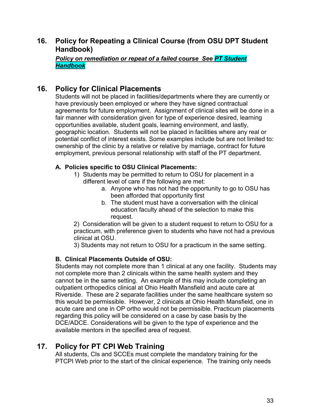### **16. Policy for Repeating a Clinical Course (from OSU DPT Student Handbook)**

*Policy on remediation or repeat of a failed course See PT Student Handbook*

### <span id="page-32-0"></span>**16. Policy for Clinical Placements**

Students will not be placed in facilities/departments where they are currently or have previously been employed or where they have signed contractual agreements for future employment. Assignment of clinical sites will be done in a fair manner with consideration given for type of experience desired, learning opportunities available, student goals, learning environment, and lastly, geographic location. Students will not be placed in facilities where any real or potential conflict of interest exists. Some examples include but are not limited to: ownership of the clinic by a relative or relative by marriage, contract for future employment, previous personal relationship with staff of the PT department.

### **A. Policies specific to OSU Clinical Placements:**

- 1) Students may be permitted to return to OSU for placement in a different level of care if the following are met:
	- a. Anyone who has not had the opportunity to go to OSU has been afforded that opportunity first
	- b. The student must have a conversation with the clinical education faculty ahead of the selection to make this request.

2) Consideration will be given to a student request to return to OSU for a practicum, with preference given to students who have not had a previous clinical at OSU.

3) Students may not return to OSU for a practicum in the same setting.

### **B. Clinical Placements Outside of OSU:**

Students may not complete more than 1 clinical at any one facility. Students may not complete more than 2 clinicals within the same health system and they cannot be in the same setting. An example of this may include completing an outpatient orthopedics clinical at Ohio Health Mansfield and acute care at Riverside. These are 2 separate facilities under the same healthcare system so this would be permissible. However, 2 clinicals at Ohio Health Mansfield, one in acute care and one in OP ortho would not be permissible. Practicum placements regarding this policy will be considered on a case by case basis by the DCE/ADCE. Considerations will be given to the type of experience and the available mentors in the specified area of request.

### <span id="page-32-1"></span>**17. Policy for PT CPI Web Training**

All students, CIs and SCCEs must complete the mandatory training for the PTCPI Web prior to the start of the clinical experience. The training only needs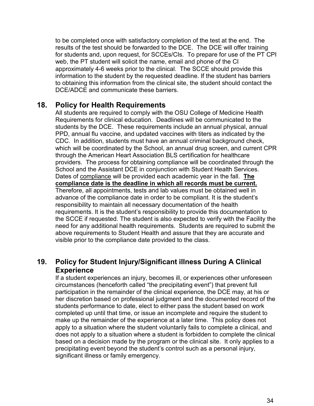to be completed once with satisfactory completion of the test at the end. The results of the test should be forwarded to the DCE. The DCE will offer training for students and, upon request, for SCCEs/CIs. To prepare for use of the PT CPI web, the PT student will solicit the name, email and phone of the CI approximately 4-6 weeks prior to the clinical. The SCCE should provide this information to the student by the requested deadline. If the student has barriers to obtaining this information from the clinical site, the student should contact the DCE/ADCE and communicate these barriers.

### <span id="page-33-0"></span>**18. Policy for Health Requirements**

All students are required to comply with the OSU College of Medicine Health Requirements for clinical education. Deadlines will be communicated to the students by the DCE. These requirements include an annual physical, annual PPD, annual flu vaccine, and updated vaccines with titers as indicated by the CDC. In addition, students must have an annual criminal background check, which will be coordinated by the School, an annual drug screen, and current CPR through the American Heart Association BLS certification for healthcare providers. The process for obtaining compliance will be coordinated through the School and the Assistant DCE in conjunction with Student Health Services. Dates of compliance will be provided each academic year in the fall. **The compliance date is the deadline in which all records must be current.** Therefore, all appointments, tests and lab values must be obtained well in advance of the compliance date in order to be compliant. It is the student's responsibility to maintain all necessary documentation of the health requirements. It is the student's responsibility to provide this documentation to the SCCE if requested. The student is also expected to verify with the Facility the need for any additional health requirements. Students are required to submit the above requirements to Student Health and assure that they are accurate and visible prior to the compliance date provided to the class.

### **19. Policy for Student Injury/Significant illness During A Clinical Experience**

If a student experiences an injury, becomes ill, or experiences other unforeseen circumstances (henceforth called "the precipitating event") that prevent full participation in the remainder of the clinical experience, the DCE may, at his or her discretion based on professional judgment and the documented record of the students performance to date, elect to either pass the student based on work completed up until that time, or issue an incomplete and require the student to make up the remainder of the experience at a later time. This policy does not apply to a situation where the student voluntarily fails to complete a clinical, and does not apply to a situation where a student is forbidden to complete the clinical based on a decision made by the program or the clinical site. It only applies to a precipitating event beyond the student's control such as a personal injury, significant illness or family emergency.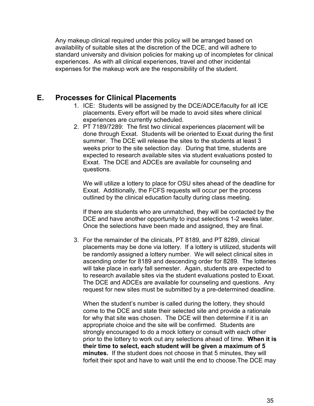Any makeup clinical required under this policy will be arranged based on availability of suitable sites at the discretion of the DCE, and will adhere to standard university and division policies for making up of incompletes for clinical experiences. As with all clinical experiences, travel and other incidental expenses for the makeup work are the responsibility of the student.

### <span id="page-34-0"></span>**E. Processes for Clinical Placements**

- 1. ICE: Students will be assigned by the DCE/ADCE/faculty for all ICE placements. Every effort will be made to avoid sites where clinical experiences are currently scheduled.
- 2. PT 7189/7289: The first two clinical experiences placement will be done through Exxat. Students will be oriented to Exxat during the first summer. The DCE will release the sites to the students at least 3 weeks prior to the site selection day. During that time, students are expected to research available sites via student evaluations posted to Exxat. The DCE and ADCEs are available for counseling and questions.

We will utilize a lottery to place for OSU sites ahead of the deadline for Exxat. Additionally, the FCFS requests will occur per the process outlined by the clinical education faculty during class meeting.

If there are students who are unmatched, they will be contacted by the DCE and have another opportunity to input selections 1-2 weeks later. Once the selections have been made and assigned, they are final.

3. For the remainder of the clinicals, PT 8189, and PT 8289, clinical placements may be done via lottery. If a lottery is utilized, students will be randomly assigned a lottery number. We will select clinical sites in ascending order for 8189 and descending order for 8289. The lotteries will take place in early fall semester. Again, students are expected to to research available sites via the student evaluations posted to Exxat. The DCE and ADCEs are available for counseling and questions. Any request for new sites must be submitted by a pre-determined deadline.

When the student's number is called during the lottery, they should come to the DCE and state their selected site and provide a rationale for why that site was chosen. The DCE will then determine if it is an appropriate choice and the site will be confirmed. Students are strongly encouraged to do a mock lottery or consult with each other prior to the lottery to work out any selections ahead of time. **When it is their time to select, each student will be given a maximum of 5 minutes.** If the student does not choose in that 5 minutes, they will forfeit their spot and have to wait until the end to choose.The DCE may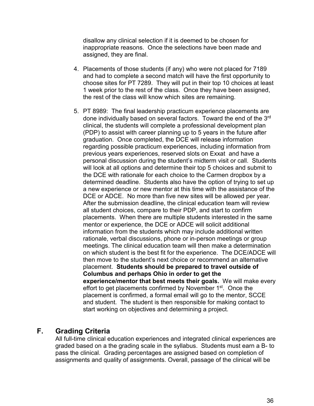disallow any clinical selection if it is deemed to be chosen for inappropriate reasons. Once the selections have been made and assigned, they are final.

- 4. Placements of those students (if any) who were not placed for 7189 and had to complete a second match will have the first opportunity to choose sites for PT 7289. They will put in their top 10 choices at least 1 week prior to the rest of the class. Once they have been assigned, the rest of the class will know which sites are remaining.
- 5. PT 8989: The final leadership practicum experience placements are done individually based on several factors. Toward the end of the 3rd clinical, the students will complete a professional development plan (PDP) to assist with career planning up to 5 years in the future after graduation. Once completed, the DCE will release information regarding possible practicum experiences, including information from previous years experiences, reserved slots on Exxat and have a personal discussion during the student's midterm visit or call. Students will look at all options and determine their top 5 choices and submit to the DCE with rationale for each choice to the Carmen dropbox by a determined deadline. Students also have the option of trying to set up a new experience or new mentor at this time with the assistance of the DCE or ADCE. No more than five new sites will be allowed per year. After the submission deadline, the clinical education team will review all student choices, compare to their PDP, and start to confirm placements. When there are multiple students interested in the same mentor or experience, the DCE or ADCE will solicit additional information from the students which may include additional written rationale, verbal discussions, phone or in-person meetings or group meetings. The clinical education team will then make a determination on which student is the best fit for the experience. The DCE/ADCE will then move to the student's next choice or recommend an alternative placement. **Students should be prepared to travel outside of Columbus and perhaps Ohio in order to get the experience/mentor that best meets their goals.** We will make every effort to get placements confirmed by November 1<sup>st</sup>. Once the placement is confirmed, a formal email will go to the mentor, SCCE and student. The student is then responsible for making contact to start working on objectives and determining a project.

### <span id="page-35-0"></span>**F. Grading Criteria**

All full-time clinical education experiences and integrated clinical experiences are graded based on a the grading scale in the syllabus. Students must earn a B- to pass the clinical. Grading percentages are assigned based on completion of assignments and quality of assignments. Overall, passage of the clinical will be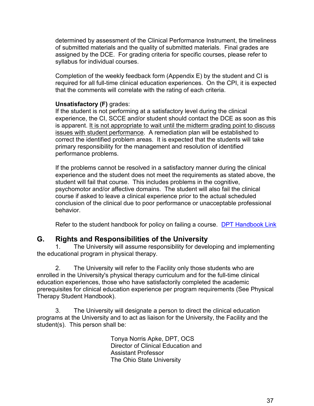determined by assessment of the Clinical Performance Instrument, the timeliness of submitted materials and the quality of submitted materials. Final grades are assigned by the DCE. For grading criteria for specific courses, please refer to syllabus for individual courses.

Completion of the weekly feedback form (Appendix E) by the student and CI is required for all full-time clinical education experiences. On the CPI, it is expected that the comments will correlate with the rating of each criteria.

### **Unsatisfactory (F)** grades:

If the student is not performing at a satisfactory level during the clinical experience, the CI, SCCE and/or student should contact the DCE as soon as this is apparent. It is not appropriate to wait until the midterm grading point to discuss issues with student performance. A remediation plan will be established to correct the identified problem areas. It is expected that the students will take primary responsibility for the management and resolution of identified performance problems.

If the problems cannot be resolved in a satisfactory manner during the clinical experience and the student does not meet the requirements as stated above, the student will fail that course. This includes problems in the cognitive, psychomotor and/or affective domains. The student will also fail the clinical course if asked to leave a clinical experience prior to the actual scheduled conclusion of the clinical due to poor performance or unacceptable professional behavior.

Refer to the student handbook for policy on failing a course. [DPT Handbook Link](https://hrs.osu.edu/-/media/files/hrs/academics/academic-resources/student-handbooks/dpt-handbook.pdf)

### <span id="page-36-0"></span>**G. Rights and Responsibilities of the University**

1. The University will assume responsibility for developing and implementing the educational program in physical therapy.

2. The University will refer to the Facility only those students who are enrolled in the University's physical therapy curriculum and for the full-time clinical education experiences, those who have satisfactorily completed the academic prerequisites for clinical education experience per program requirements (See Physical Therapy Student Handbook).

3. The University will designate a person to direct the clinical education programs at the University and to act as liaison for the University, the Facility and the student(s). This person shall be:

> Tonya Norris Apke, DPT, OCS Director of Clinical Education and Assistant Professor The Ohio State University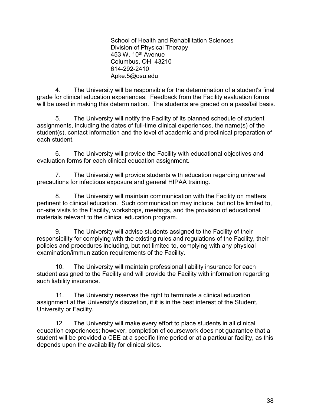School of Health and Rehabilitation Sciences Division of Physical Therapy 453 W. 10<sup>th</sup> Avenue Columbus, OH 43210 614-292-2410 Apke.5@osu.edu

4. The University will be responsible for the determination of a student's final grade for clinical education experiences. Feedback from the Facility evaluation forms will be used in making this determination. The students are graded on a pass/fail basis.

5. The University will notify the Facility of its planned schedule of student assignments, including the dates of full-time clinical experiences, the name(s) of the student(s), contact information and the level of academic and preclinical preparation of each student.

6. The University will provide the Facility with educational objectives and evaluation forms for each clinical education assignment.

7. The University will provide students with education regarding universal precautions for infectious exposure and general HIPAA training.

8. The University will maintain communication with the Facility on matters pertinent to clinical education. Such communication may include, but not be limited to, on-site visits to the Facility, workshops, meetings, and the provision of educational materials relevant to the clinical education program.

9. The University will advise students assigned to the Facility of their responsibility for complying with the existing rules and regulations of the Facility, their policies and procedures including, but not limited to, complying with any physical examination/immunization requirements of the Facility.

10. The University will maintain professional liability insurance for each student assigned to the Facility and will provide the Facility with information regarding such liability insurance.

11. The University reserves the right to terminate a clinical education assignment at the University's discretion, if it is in the best interest of the Student, University or Facility.

12. The University will make every effort to place students in all clinical education experiences; however, completion of coursework does not guarantee that a student will be provided a CEE at a specific time period or at a particular facility, as this depends upon the availability for clinical sites.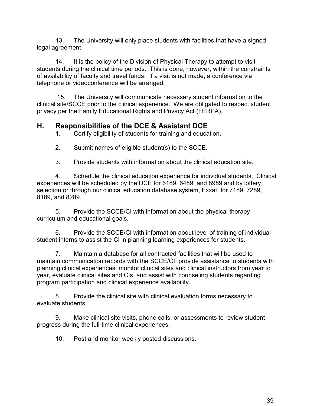13. The University will only place students with facilities that have a signed legal agreement.

14. It is the policy of the Division of Physical Therapy to attempt to visit students during the clinical time periods. This is done, however, within the constraints of availability of faculty and travel funds. If a visit is not made, a conference via telephone or videoconference will be arranged.

15. The University will communicate necessary student information to the clinical site/SCCE prior to the clinical experience. We are obligated to respect student privacy per the Family Educational Rights and Privacy Act (FERPA).

### <span id="page-38-0"></span>**H. Responsibilities of the DCE & Assistant DCE**

1. Certify eligibility of students for training and education.

2. Submit names of eligible student(s) to the SCCE.

3. Provide students with information about the clinical education site.

4. Schedule the clinical education experience for individual students. Clinical experiences will be scheduled by the DCE for 6189, 6489, and 8989 and by lottery selection or through our clinical education database system, Exxat, for 7189, 7289, 8189, and 8289.

5. Provide the SCCE/CI with information about the physical therapy curriculum and educational goals.

6. Provide the SCCE/CI with information about level of training of individual student interns to assist the CI in planning learning experiences for students.

7. Maintain a database for all contracted facilities that will be used to maintain communication records with the SCCE/CI, provide assistance to students with planning clinical experiences, monitor clinical sites and clinical instructors from year to year, evaluate clinical sites and CIs, and assist with counseling students regarding program participation and clinical experience availability.

8. Provide the clinical site with clinical evaluation forms necessary to evaluate students.

9. Make clinical site visits, phone calls, or assessments to review student progress during the full-time clinical experiences.

10. Post and monitor weekly posted discussions.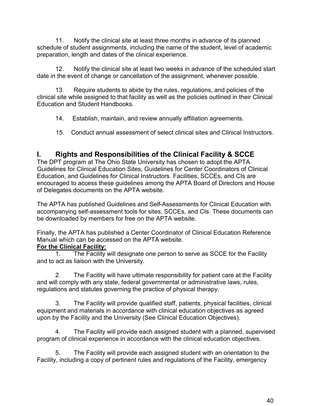11. Notify the clinical site at least three months in advance of its planned schedule of student assignments, including the name of the student, level of academic preparation, length and dates of the clinical experience.

12. Notify the clinical site at least two weeks in advance of the scheduled start date in the event of change or cancellation of the assignment, whenever possible.

13. Require students to abide by the rules, regulations, and policies of the clinical site while assigned to that facility as well as the policies outlined in their Clinical Education and Student Handbooks.

14. Establish, maintain, and review annually affiliation agreements.

15. Conduct annual assessment of select clinical sites and Clinical Instructors.

### <span id="page-39-0"></span>**I. Rights and Responsibilities of the Clinical Facility & SCCE**

The DPT program at The Ohio State University has chosen to adopt the APTA Guidelines for Clinical Education Sites, Guidelines for Center Coordinators of Clinical Education, and Guidelines for Clinical Instructors. Facilities, SCCEs, and CIs are encouraged to access these guidelines among the APTA Board of Directors and House of Delegates documents on the APTA website.

The APTA has published Guidelines and Self-Assessments for Clinical Education with accompanying self-assessment tools for sites, SCCEs, and CIs. These documents can be downloaded by members for free on the APTA website.

Finally, the APTA has published a Center Coordinator of Clinical Education Reference Manual which can be accessed on the APTA website.

### **For the Clinical Facility:**

1. The Facility will designate one person to serve as SCCE for the Facility and to act as liaison with the University.

2. The Facility will have ultimate responsibility for patient care at the Facility and will comply with any state, federal governmental or administrative laws, rules, regulations and statutes governing the practice of physical therapy.

3. The Facility will provide qualified staff, patients, physical facilities, clinical equipment and materials in accordance with clinical education objectives as agreed upon by the Facility and the University (See Clinical Education Objectives).

4. The Facility will provide each assigned student with a planned, supervised program of clinical experience in accordance with the clinical education objectives.

5. The Facility will provide each assigned student with an orientation to the Facility, including a copy of pertinent rules and regulations of the Facility, emergency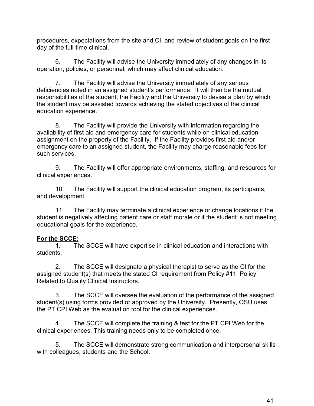procedures, expectations from the site and CI, and review of student goals on the first day of the full-time clinical.

6. The Facility will advise the University immediately of any changes in its operation, policies, or personnel, which may affect clinical education.

7. The Facility will advise the University immediately of any serious deficiencies noted in an assigned student's performance. It will then be the mutual responsibilities of the student, the Facility and the University to devise a plan by which the student may be assisted towards achieving the stated objectives of the clinical education experience.

8. The Facility will provide the University with information regarding the availability of first aid and emergency care for students while on clinical education assignment on the property of the Facility. If the Facility provides first aid and/or emergency care to an assigned student, the Facility may charge reasonable fees for such services.

9. The Facility will offer appropriate environments, staffing, and resources for clinical experiences.

10. The Facility will support the clinical education program, its participants, and development.

11. The Facility may terminate a clinical experience or change locations if the student is negatively affecting patient care or staff morale or if the student is not meeting educational goals for the experience.

## **For the SCCE:**

The SCCE will have expertise in clinical education and interactions with students.

2. The SCCE will designate a physical therapist to serve as the CI for the assigned student(s) that meets the stated CI requirement from Policy #11 Policy Related to Quality Clinical Instructors.

3. The SCCE will oversee the evaluation of the performance of the assigned student(s) using forms provided or approved by the University. Presently, OSU uses the PT CPI Web as the evaluation tool for the clinical experiences.

4. The SCCE will complete the training & test for the PT CPI Web for the clinical experiences. This training needs only to be completed once.

5. The SCCE will demonstrate strong communication and interpersonal skills with colleagues, students and the School.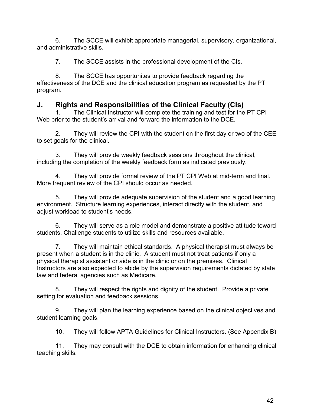6. The SCCE will exhibit appropriate managerial, supervisory, organizational, and administrative skills.

7. The SCCE assists in the professional development of the CIs.

8. The SCCE has opportunites to provide feedback regarding the effectiveness of the DCE and the clinical education program as requested by the PT program.

### <span id="page-41-0"></span>**J. Rights and Responsibilities of the Clinical Faculty (CIs)**

1. The Clinical Instructor will complete the training and test for the PT CPI Web prior to the student's arrival and forward the information to the DCE.

2. They will review the CPI with the student on the first day or two of the CEE to set goals for the clinical.

3. They will provide weekly feedback sessions throughout the clinical, including the completion of the weekly feedback form as indicated previously.

4. They will provide formal review of the PT CPI Web at mid-term and final. More frequent review of the CPI should occur as needed.

5. They will provide adequate supervision of the student and a good learning environment. Structure learning experiences, interact directly with the student, and adjust workload to student's needs.

6. They will serve as a role model and demonstrate a positive attitude toward students. Challenge students to utilize skills and resources available.

7. They will maintain ethical standards. A physical therapist must always be present when a student is in the clinic. A student must not treat patients if only a physical therapist assistant or aide is in the clinic or on the premises. Clinical Instructors are also expected to abide by the supervision requirements dictated by state law and federal agencies such as Medicare.

8. They will respect the rights and dignity of the student. Provide a private setting for evaluation and feedback sessions.

9. They will plan the learning experience based on the clinical objectives and student learning goals.

10. They will follow APTA Guidelines for Clinical Instructors. (See Appendix B)

11. They may consult with the DCE to obtain information for enhancing clinical teaching skills.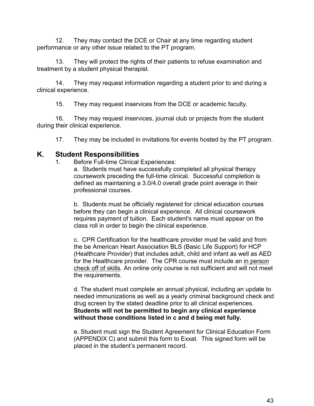12. They may contact the DCE or Chair at any time regarding student performance or any other issue related to the PT program.

13. They will protect the rights of their patients to refuse examination and treatment by a student physical therapist.

14. They may request information regarding a student prior to and during a clinical experience.

15. They may request inservices from the DCE or academic faculty.

16. They may request inservices, journal club or projects from the student during their clinical experience.

17. They may be included in invitations for events hosted by the PT program.

### <span id="page-42-0"></span>**K. Student Responsibilities**

1. Before Full-time Clinical Experiences:

a. Students must have successfully completed all physical therapy coursework preceding the full-time clinical. Successful completion is defined as maintaining a 3.0/4.0 overall grade point average in their professional courses.

b. Students must be officially registered for clinical education courses before they can begin a clinical experience. All clinical coursework requires payment of tuition. Each student's name must appear on the class roll in order to begin the clinical experience.

c. CPR Certification for the healthcare provider must be valid and from the be American Heart Association BLS (Basic Life Support) for HCP (Healthcare Provider) that includes adult, child and infant as well as AED for the Healthcare provider. The CPR course must include an in person check off of skills. An online only course is not sufficient and will not meet the requirements.

d. The student must complete an annual physical, including an update to needed immunizations as well as a yearly criminal background check and drug screen by the stated deadline prior to all clinical experiences. **Students will not be permitted to begin any clinical experience without these conditions listed in c and d being met fully.**

e. Student must sign the Student Agreement for Clinical Education Form (APPENDIX C) and submit this form to Exxat. This signed form will be placed in the student's permanent record.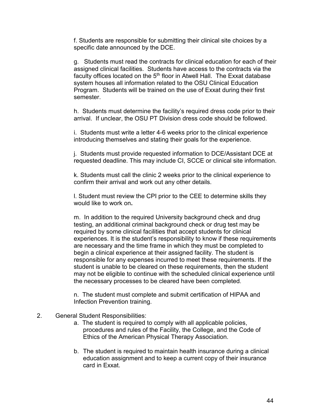f. Students are responsible for submitting their clinical site choices by a specific date announced by the DCE.

g. Students must read the contracts for clinical education for each of their assigned clinical facilities. Students have access to the contracts via the faculty offices located on the  $5<sup>th</sup>$  floor in Atwell Hall. The Exxat database system houses all information related to the OSU Clinical Education Program. Students will be trained on the use of Exxat during their first semester.

h. Students must determine the facility's required dress code prior to their arrival. If unclear, the OSU PT Division dress code should be followed.

i. Students must write a letter 4-6 weeks prior to the clinical experience introducing themselves and stating their goals for the experience.

j. Students must provide requested information to DCE/Assistant DCE at requested deadline. This may include CI, SCCE or clinical site information.

k. Students must call the clinic 2 weeks prior to the clinical experience to confirm their arrival and work out any other details.

l. Student must review the CPI prior to the CEE to determine skills they would like to work on**.**

m. In addition to the required University background check and drug testing, an additional criminal background check or drug test may be required by some clinical facilities that accept students for clinical experiences. It is the student's responsibility to know if these requirements are necessary and the time frame in which they must be completed to begin a clinical experience at their assigned facility. The student is responsible for any expenses incurred to meet these requirements. If the student is unable to be cleared on these requirements, then the student may not be eligible to continue with the scheduled clinical experience until the necessary processes to be cleared have been completed.

n. The student must complete and submit certification of HIPAA and Infection Prevention training.

#### 2. General Student Responsibilities:

- a. The student is required to comply with all applicable policies, procedures and rules of the Facility, the College, and the Code of Ethics of the American Physical Therapy Association.
- b. The student is required to maintain health insurance during a clinical education assignment and to keep a current copy of their insurance card in Exxat.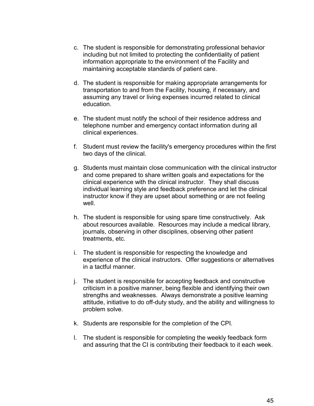- c. The student is responsible for demonstrating professional behavior including but not limited to protecting the confidentiality of patient information appropriate to the environment of the Facility and maintaining acceptable standards of patient care.
- d. The student is responsible for making appropriate arrangements for transportation to and from the Facility, housing, if necessary, and assuming any travel or living expenses incurred related to clinical education.
- e. The student must notify the school of their residence address and telephone number and emergency contact information during all clinical experiences.
- f. Student must review the facility's emergency procedures within the first two days of the clinical.
- g. Students must maintain close communication with the clinical instructor and come prepared to share written goals and expectations for the clinical experience with the clinical instructor. They shall discuss individual learning style and feedback preference and let the clinical instructor know if they are upset about something or are not feeling well.
- h. The student is responsible for using spare time constructively. Ask about resources available. Resources may include a medical library, journals, observing in other disciplines, observing other patient treatments, etc.
- i. The student is responsible for respecting the knowledge and experience of the clinical instructors. Offer suggestions or alternatives in a tactful manner.
- j. The student is responsible for accepting feedback and constructive criticism in a positive manner, being flexible and identifying their own strengths and weaknesses. Always demonstrate a positive learning attitude, initiative to do off-duty study, and the ability and willingness to problem solve.
- k. Students are responsible for the completion of the CPI.
- l. The student is responsible for completing the weekly feedback form and assuring that the CI is contributing their feedback to it each week.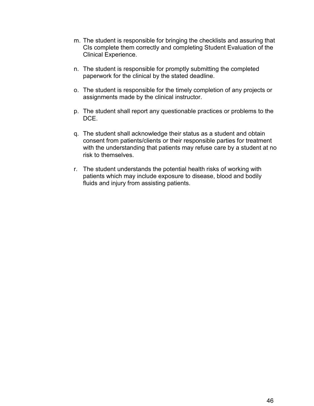- m. The student is responsible for bringing the checklists and assuring that CIs complete them correctly and completing Student Evaluation of the Clinical Experience.
- n. The student is responsible for promptly submitting the completed paperwork for the clinical by the stated deadline.
- o. The student is responsible for the timely completion of any projects or assignments made by the clinical instructor.
- p. The student shall report any questionable practices or problems to the DCE.
- q. The student shall acknowledge their status as a student and obtain consent from patients/clients or their responsible parties for treatment with the understanding that patients may refuse care by a student at no risk to themselves.
- r. The student understands the potential health risks of working with patients which may include exposure to disease, blood and bodily fluids and injury from assisting patients.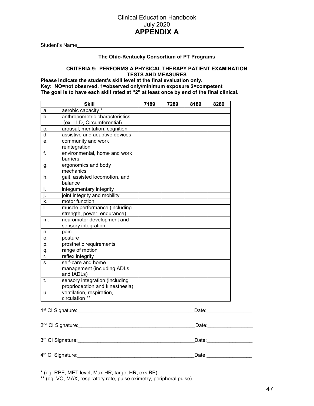#### Clinical Education Handbook July 2020 **APPENDIX A**

<span id="page-46-0"></span>Student's Name

#### **The Ohio-Kentucky Consortium of PT Programs**

#### **CRITERIA 9: PERFORMS A PHYSICAL THERAPY PATIENT EXAMINATION TESTS AND MEASURES**

**Please indicate the student's skill level at the final evaluation only. Key: NO=not observed, 1=observed only/minimum exposure 2=competent The goal is to have each skill rated at "2" at least once by end of the final clinical.**

|               | <b>Skill</b>                                                 | 7189 | 7289 | 8189 | 8289                                                                                                                                                                                                                           |
|---------------|--------------------------------------------------------------|------|------|------|--------------------------------------------------------------------------------------------------------------------------------------------------------------------------------------------------------------------------------|
| a.            | aerobic capacity *                                           |      |      |      |                                                                                                                                                                                                                                |
| b             | anthropometric characteristics<br>(ex. LLD, Circumferential) |      |      |      |                                                                                                                                                                                                                                |
| c.            | arousal, mentation, cognition                                |      |      |      |                                                                                                                                                                                                                                |
| d.            | assistive and adaptive devices                               |      |      |      |                                                                                                                                                                                                                                |
| e.            | community and work                                           |      |      |      |                                                                                                                                                                                                                                |
|               | reintegration                                                |      |      |      |                                                                                                                                                                                                                                |
| f.            | environmental, home and work                                 |      |      |      |                                                                                                                                                                                                                                |
|               | barriers                                                     |      |      |      |                                                                                                                                                                                                                                |
| g.            | ergonomics and body                                          |      |      |      |                                                                                                                                                                                                                                |
|               | mechanics                                                    |      |      |      |                                                                                                                                                                                                                                |
| h.            | gait, assisted locomotion, and<br>balance                    |      |      |      |                                                                                                                                                                                                                                |
| i.            | integumentary integrity                                      |      |      |      |                                                                                                                                                                                                                                |
| $\mathsf{i}.$ | joint integrity and mobility                                 |      |      |      |                                                                                                                                                                                                                                |
| k.            | motor function                                               |      |      |      |                                                                                                                                                                                                                                |
| I.            | muscle performance (including                                |      |      |      |                                                                                                                                                                                                                                |
|               | strength, power, endurance)                                  |      |      |      |                                                                                                                                                                                                                                |
| m.            | neuromotor development and                                   |      |      |      |                                                                                                                                                                                                                                |
|               | sensory integration                                          |      |      |      |                                                                                                                                                                                                                                |
| n.            | pain                                                         |      |      |      |                                                                                                                                                                                                                                |
| о.            | posture                                                      |      |      |      |                                                                                                                                                                                                                                |
| p.            | prosthetic requirements                                      |      |      |      |                                                                                                                                                                                                                                |
| q.            | range of motion                                              |      |      |      |                                                                                                                                                                                                                                |
| r.            | reflex integrity                                             |      |      |      |                                                                                                                                                                                                                                |
| s.            | self-care and home                                           |      |      |      |                                                                                                                                                                                                                                |
|               | management (including ADLs<br>and IADLs)                     |      |      |      |                                                                                                                                                                                                                                |
| t.            | sensory integration (including                               |      |      |      |                                                                                                                                                                                                                                |
|               | proprioception and kinesthesia)                              |      |      |      |                                                                                                                                                                                                                                |
| u.            | ventilation, respiration,                                    |      |      |      |                                                                                                                                                                                                                                |
|               | circulation **                                               |      |      |      |                                                                                                                                                                                                                                |
|               |                                                              |      |      |      | Date: <b>Date</b>                                                                                                                                                                                                              |
|               |                                                              |      |      |      | Date: when the control of the control of the control of the control of the control of the control of the control of the control of the control of the control of the control of the control of the control of the control of t |
|               |                                                              |      |      |      |                                                                                                                                                                                                                                |
|               | 3rd CI Signature:                                            |      |      |      | Date: the contract of the contract of the contract of the contract of the contract of the contract of the contract of the contract of the contract of the contract of the contract of the contract of the contract of the cont |
|               |                                                              |      |      |      |                                                                                                                                                                                                                                |
|               | 4th CI Signature:                                            |      |      |      | Date: <b>Date</b>                                                                                                                                                                                                              |

\* (eg. RPE, MET level, Max HR, target HR, exs BP)

\*\* (eg. VO, MAX, respiratory rate, pulse oximetry, peripheral pulse)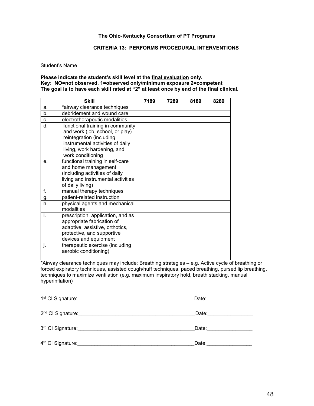#### **The Ohio-Kentucky Consortium of PT Programs**

#### **CRITERIA 13: PERFORMS PROCEDURAL INTERVENTIONS**

Student's Name

#### **Please indicate the student's skill level at the final evaluation only. Key: NO=not observed, 1=observed only/minimum exposure 2=competent The goal is to have each skill rated at "2" at least once by end of the final clinical.**

|                  | <b>Skill</b>                                 | 7189 | 7289 | 8189 | 8289 |
|------------------|----------------------------------------------|------|------|------|------|
| a.               | *airway clearance techniques                 |      |      |      |      |
| b.               | debridement and wound care                   |      |      |      |      |
| C.               | electrotherapeutic modalities                |      |      |      |      |
| d.               | functional training in community             |      |      |      |      |
|                  | and work (job, school, or play)              |      |      |      |      |
|                  | reintegration (including                     |      |      |      |      |
|                  | instrumental activities of daily             |      |      |      |      |
|                  | living, work hardening, and                  |      |      |      |      |
|                  | work conditioning                            |      |      |      |      |
| e.               | functional training in self-care             |      |      |      |      |
|                  | and home management                          |      |      |      |      |
|                  | (including activities of daily               |      |      |      |      |
|                  | living and instrumental activities           |      |      |      |      |
|                  | of daily living)                             |      |      |      |      |
| f.               | manual therapy techniques                    |      |      |      |      |
| <u>g.</u>        | patient-related instruction                  |      |      |      |      |
| $\overline{h}$ . | physical agents and mechanical<br>modalities |      |      |      |      |
| i.               | prescription, application, and as            |      |      |      |      |
|                  | appropriate fabrication of                   |      |      |      |      |
|                  | adaptive, assistive, orthotics,              |      |      |      |      |
|                  | protective, and supportive                   |      |      |      |      |
|                  | devices and equipment                        |      |      |      |      |
| j.               | therapeutic exercise (including              |      |      |      |      |
|                  | aerobic conditioning)                        |      |      |      |      |
|                  |                                              |      |      |      |      |

\*Airway clearance techniques may include: Breathing strategies – e.g. Active cycle of breathing or forced expiratory techniques, assisted cough/huff techniques, paced breathing, pursed lip breathing, techniques to maximize ventilation (e.g. maximum inspiratory hold, breath stacking, manual hyperinflation)

| 1 <sup>st</sup> CI Signature: | Date: |
|-------------------------------|-------|
| 2 <sup>nd</sup> CI Signature: | Date: |
| 3rd CI Signature:             | Date: |
| 4 <sup>th</sup> CI Signature: | Date: |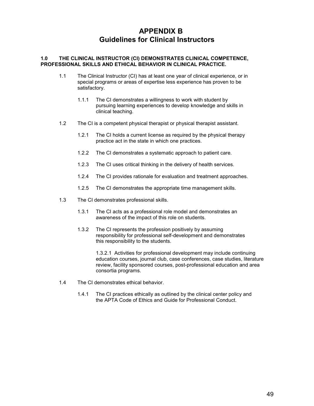### <span id="page-48-0"></span> **APPENDIX B Guidelines for Clinical Instructors**

#### **1.0 THE CLINICAL INSTRUCTOR (CI) DEMONSTRATES CLINICAL COMPETENCE, PROFESSIONAL SKILLS AND ETHICAL BEHAVIOR IN CLINICAL PRACTICE.**

- 1.1 The Clinical Instructor (CI) has at least one year of clinical experience, or in special programs or areas of expertise less experience has proven to be satisfactory.
	- 1.1.1 The CI demonstrates a willingness to work with student by pursuing learning experiences to develop knowledge and skills in clinical teaching.
- 1.2 The CI is a competent physical therapist or physical therapist assistant.
	- 1.2.1 The CI holds a current license as required by the physical therapy practice act in the state in which one practices.
	- 1.2.2 The CI demonstrates a systematic approach to patient care.
	- 1.2.3 The CI uses critical thinking in the delivery of health services.
	- 1.2.4 The CI provides rationale for evaluation and treatment approaches.
	- 1.2.5 The CI demonstrates the appropriate time management skills.
- 1.3 The CI demonstrates professional skills.
	- 1.3.1 The CI acts as a professional role model and demonstrates an awareness of the impact of this role on students.
	- 1.3.2 The CI represents the profession positively by assuming responsibility for professional self-development and demonstrates this responsibility to the students.

1.3.2.1 Activities for professional development may include continuing education courses, journal club, case conferences, case studies, literature review, facility sponsored courses, post-professional education and area consortia programs.

- 1.4 The CI demonstrates ethical behavior.
	- 1.4.1 The CI practices ethically as outlined by the clinical center policy and the APTA Code of Ethics and Guide for Professional Conduct.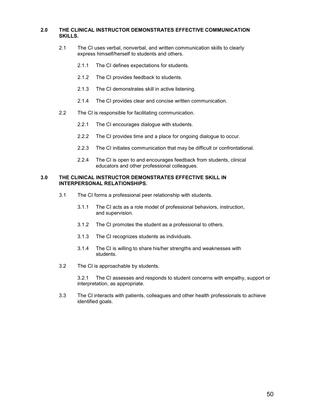#### **2.0 THE CLINICAL INSTRUCTOR DEMONSTRATES EFFECTIVE COMMUNICATION SKILLS.**

- 2.1 The CI uses verbal, nonverbal, and written communication skills to clearly express himself/herself to students and others.
	- 2.1.1 The CI defines expectations for students.
	- 2.1.2 The CI provides feedback to students.
	- 2.1.3 The CI demonstrates skill in active listening.
	- 2.1.4 The CI provides clear and concise written communication.
- 2.2 The CI is responsible for facilitating communication.
	- 2.2.1 The CI encourages dialogue with students.
	- 2.2.2 The CI provides time and a place for ongoing dialogue to occur.
	- 2.2.3 The CI initiates communication that may be difficult or confrontational.
	- 2.2.4 The CI is open to and encourages feedback from students, clinical educators and other professional colleagues.

#### **3.0 THE CLINICAL INSTRUCTOR DEMONSTRATES EFFECTIVE SKILL IN INTERPERSONAL RELATIONSHIPS.**

- 3.1 The CI forms a professional peer relationship with students.
	- 3.1.1 The CI acts as a role model of professional behaviors, instruction, and supervision.
	- 3.1.2 The CI promotes the student as a professional to others.
	- 3.1.3 The CI recognizes students as individuals.
	- 3.1.4 The CI is willing to share his/her strengths and weaknesses with students.
- 3.2 The CI is approachable by students.

3.2.1 The CI assesses and responds to student concerns with empathy, support or interpretation, as appropriate.

3.3 The CI interacts with patients, colleagues and other health professionals to achieve identified goals.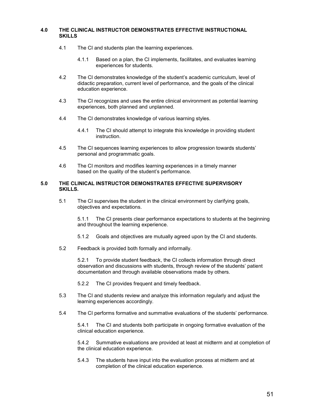#### **4.0 THE CLINICAL INSTRUCTOR DEMONSTRATES EFFECTIVE INSTRUCTIONAL SKILLS**

- 4.1 The CI and students plan the learning experiences.
	- 4.1.1 Based on a plan, the CI implements, facilitates, and evaluates learning experiences for students.
- 4.2 The CI demonstrates knowledge of the student's academic curriculum, level of didactic preparation, current level of performance, and the goals of the clinical education experience.
- 4.3 The CI recognizes and uses the entire clinical environment as potential learning experiences, both planned and unplanned.
- 4.4 The CI demonstrates knowledge of various learning styles.
	- 4.4.1 The CI should attempt to integrate this knowledge in providing student instruction.
- 4.5 The CI sequences learning experiences to allow progression towards students' personal and programmatic goals.
- 4.6 The CI monitors and modifies learning experiences in a timely manner based on the quality of the student's performance.

#### **5.0 THE CLINICAL INSTRUCTOR DEMONSTRATES EFFECTIVE SUPERVISORY SKILLS.**

5.1 The CI supervises the student in the clinical environment by clarifying goals, objectives and expectations.

5.1.1 The CI presents clear performance expectations to students at the beginning and throughout the learning experience.

- 5.1.2 Goals and objectives are mutually agreed upon by the CI and students.
- 5.2 Feedback is provided both formally and informally.

5.2.1 To provide student feedback, the CI collects information through direct observation and discussions with students, through review of the students' patient documentation and through available observations made by others.

5.2.2 The CI provides frequent and timely feedback.

- 5.3 The CI and students review and analyze this information regularly and adjust the learning experiences accordingly.
- 5.4 The CI performs formative and summative evaluations of the students' performance.

5.4.1 The CI and students both participate in ongoing formative evaluation of the clinical education experience.

5.4.2 Summative evaluations are provided at least at midterm and at completion of the clinical education experience.

5.4.3 The students have input into the evaluation process at midterm and at completion of the clinical education experience.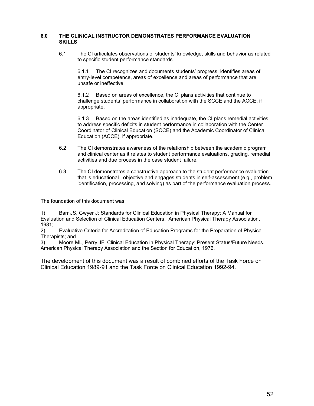#### **6.0 THE CLINICAL INSTRUCTOR DEMONSTRATES PERFORMANCE EVALUATION SKILLS**

6.1 The CI articulates observations of students' knowledge, skills and behavior as related to specific student performance standards.

6.1.1 The CI recognizes and documents students' progress, identifies areas of entry-level competence, areas of excellence and areas of performance that are unsafe or ineffective.

6.1.2 Based on areas of excellence, the CI plans activities that continue to challenge students' performance in collaboration with the SCCE and the ACCE, if appropriate.

6.1.3 Based on the areas identified as inadequate, the CI plans remedial activities to address specific deficits in student performance in collaboration with the Center Coordinator of Clinical Education (SCCE) and the Academic Coordinator of Clinical Education (ACCE), if appropriate.

- 6.2 The CI demonstrates awareness of the relationship between the academic program and clinical center as it relates to student performance evaluations, grading, remedial activities and due process in the case student failure.
- 6.3 The CI demonstrates a constructive approach to the student performance evaluation that is educational , objective and engages students in self-assessment (e.g., problem identification, processing, and solving) as part of the performance evaluation process.

The foundation of this document was:

1) Barr JS, Gwyer J: Standards for Clinical Education in Physical Therapy: A Manual for Evaluation and Selection of Clinical Education Centers. American Physical Therapy Association, 1981;<br>2)

2) Evaluative Criteria for Accreditation of Education Programs for the Preparation of Physical Therapists; and

3) Moore ML, Perry JF: Clinical Education in Physical Therapy: Present Status/Future Needs. American Physical Therapy Association and the Section for Education, 1976.

The development of this document was a result of combined efforts of the Task Force on Clinical Education 1989-91 and the Task Force on Clinical Education 1992-94.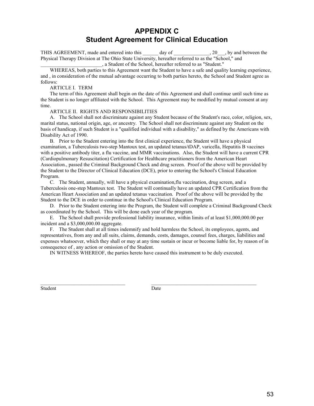### **APPENDIX C Student Agreement for Clinical Education**

<span id="page-52-0"></span>THIS AGREEMENT, made and entered into this day of  $\qquad \qquad$ , 20  $\qquad$ , by and between the Physical Therapy Division at The Ohio State University, hereafter referred to as the "School," and

\_\_\_\_\_\_\_\_\_\_\_\_\_\_\_\_\_\_\_\_\_\_\_\_, a Student of the School, hereafter referred to as "Student."

WHEREAS, both parties to this Agreement want the Student to have a safe and quality learning experience, and , in consideration of the mutual advantage occurring to both parties hereto, the School and Student agree as follows:

#### ARTICLE I. TERM

The term of this Agreement shall begin on the date of this Agreement and shall continue until such time as the Student is no longer affiliated with the School. This Agreement may be modified by mutual consent at any time.

#### ARTICLE II. RIGHTS AND RESPONSIBILITIES

A. The School shall not discriminate against any Student because of the Student's race, color, religion, sex, marital status, national origin, age, or ancestry. The School shall not discriminate against any Student on the basis of handicap, if such Student is a "qualified individual with a disability," as defined by the Americans with Disability Act of 1990.

B. Prior to the Student entering into the first clinical experience, the Student will have a physical examination, a Tuberculosis two-step Mantoux test, an updated tetanus/tDAP, varicella, Hepatitis B vaccines with a positive antibody titer, a flu vaccine, and MMR vaccinations. Also, the Student will have a current CPR (Cardiopulmonary Resuscitation) Certification for Healthcare practitioners from the American Heart Association., passed the Criminal Background Check and drug screen. Proof of the above will be provided by the Student to the Director of Clinical Education (DCE), prior to entering the School's Clinical Education Program.

C. The Student, annually, will have a physical examination,flu vaccination, drug screen, and a Tuberculosis one-step Mantoux test. The Student will continually have an updated CPR Certification from the American Heart Association and an updated tetanus vaccination. Proof of the above will be provided by the Student to the DCE in order to continue in the School's Clinical Education Program.

D. Prior to the Student entering into the Program, the Student will complete a Criminal Background Check as coordinated by the School. This will be done each year of the program.

E. The School shall provide professional liability insurance, within limits of at least \$1,000,000.00 per incident and a \$3,000,000.00 aggregate.

F. The Student shall at all times indemnify and hold harmless the School, its employees, agents, and representatives, from any and all suits, claims, demands, costs, damages, counsel fees, charges, liabilities and expenses whatsoever, which they shall or may at any time sustain or incur or become liable for, by reason of in consequence of , any action or omission of the Student.

IN WITNESS WHEREOF, the parties hereto have caused this instrument to be duly executed.

\_\_\_\_\_\_\_\_\_\_\_\_\_\_\_\_\_\_\_\_\_\_\_\_\_\_\_\_\_\_\_\_\_ \_\_\_\_\_\_\_\_\_\_\_\_\_\_\_\_\_\_\_\_\_\_\_\_\_\_\_\_\_\_\_\_\_\_\_\_\_\_\_\_\_

Student Date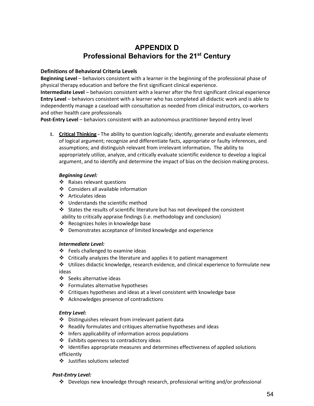### **APPENDIX D Professional Behaviors for the 21st Century**

#### <span id="page-53-0"></span>**Definitions of Behavioral Criteria Levels**

**Beginning Level** – behaviors consistent with a learner in the beginning of the professional phase of physical therapy education and before the first significant clinical experience.

**Intermediate Level** – behaviors consistent with a learner after the first significant clinical experience **Entry Level** – behaviors consistent with a learner who has completed all didactic work and is able to independently manage a caseload with consultation as needed from clinical instructors, co-workers and other health care professionals

**Post-Entry Level** – behaviors consistent with an autonomous practitioner beyond entry level

**1. Critical Thinking -** The ability to question logically; identify, generate and evaluate elements of logical argument; recognize and differentiate facts, appropriate or faulty inferences, and assumptions; and distinguish relevant from irrelevant information**.** The ability to appropriately utilize, analyze, and critically evaluate scientific evidence to develop a logical argument, and to identify and determine the impact of bias on the decision making process.

#### *Beginning Level:*

- Raises relevant questions
- Considers all available information
- ❖ Articulates ideas
- Understands the scientific method
- States the results of scientific literature but has not developed the consistent
- ability to critically appraise findings (i.e. methodology and conclusion)
- $\cdot \cdot$  Recognizes holes in knowledge base
- Demonstrates acceptance of limited knowledge and experience

#### *Intermediate Level:*

- ❖ Feels challenged to examine ideas
- $\triangle$  Critically analyzes the literature and applies it to patient management
- Utilizes didactic knowledge, research evidence, and clinical experience to formulate new ideas
- Seeks alternative ideas
- Formulates alternative hypotheses
- $\triangleleft$  Critiques hypotheses and ideas at a level consistent with knowledge base
- ❖ Acknowledges presence of contradictions

#### *Entry Level:*

- Distinguishes relevant from irrelevant patient data
- Readily formulates and critiques alternative hypotheses and ideas
- $\cdot \cdot$  Infers applicability of information across populations
- ❖ Exhibits openness to contradictory ideas
- $\div$  Identifies appropriate measures and determines effectiveness of applied solutions efficiently
- Justifies solutions selected

#### *Post-Entry Level:*

Develops new knowledge through research, professional writing and/or professional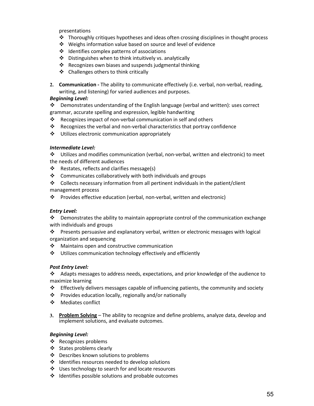presentations

- $\cdot \cdot$  Thoroughly critiques hypotheses and ideas often crossing disciplines in thought process
- Weighs information value based on source and level of evidence
- ❖ Identifies complex patterns of associations
- $\triangle$  Distinguishes when to think intuitively vs. analytically
- ❖ Recognizes own biases and suspends judgmental thinking
- Challenges others to think critically
- **2. Communication -** The ability to communicate effectively (i.e. verbal, non-verbal, reading, writing, and listening) for varied audiences and purposes.

#### *Beginning Level:*

 $\clubsuit$  Demonstrates understanding of the English language (verbal and written): uses correct grammar, accurate spelling and expression, legible handwriting

- $\cdot \cdot$  Recognizes impact of non-verbal communication in self and others
- Recognizes the verbal and non-verbal characteristics that portray confidence
- Utilizes electronic communication appropriately

#### *Intermediate Level:*

 Utilizes and modifies communication (verbal, non-verbal, written and electronic) to meet the needs of different audiences

- Restates, reflects and clarifies message(s)
- Communicates collaboratively with both individuals and groups
- Collects necessary information from all pertinent individuals in the patient/client management process
- Provides effective education (verbal, non-verbal, written and electronic)

#### *Entry Level:*

 $\cdot \cdot$  Demonstrates the ability to maintain appropriate control of the communication exchange with individuals and groups

 $\cdot \cdot$  Presents persuasive and explanatory verbal, written or electronic messages with logical organization and sequencing

- $\cdot$  Maintains open and constructive communication
- $\div$  Utilizes communication technology effectively and efficiently

#### *Post Entry Level:*

Adapts messages to address needs, expectations, and prior knowledge of the audience to maximize learning

- $\div$  Effectively delivers messages capable of influencing patients, the community and society
- Provides education locally, regionally and/or nationally
- ❖ Mediates conflict
- **3. Problem Solving** The ability to recognize and define problems, analyze data, develop and implement solutions, and evaluate outcomes.

#### *Beginning Level:*

- ❖ Recognizes problems
- ❖ States problems clearly
- ❖ Describes known solutions to problems
- $\cdot$  Identifies resources needed to develop solutions
- ❖ Uses technology to search for and locate resources
- $\div$  Identifies possible solutions and probable outcomes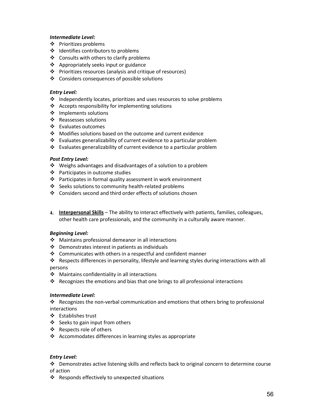#### *Intermediate Level:*

- Prioritizes problems
- ❖ Identifies contributors to problems
- ❖ Consults with others to clarify problems
- ❖ Appropriately seeks input or guidance
- Prioritizes resources (analysis and critique of resources)
- Considers consequences of possible solutions

#### *Entry Level:*

- $\cdot$  Independently locates, prioritizes and uses resources to solve problems
- $\triangleleft$  Accepts responsibility for implementing solutions
- ❖ Implements solutions
- ❖ Reassesses solutions
- Evaluates outcomes
- Modifies solutions based on the outcome and current evidence
- $\cdot$  Evaluates generalizability of current evidence to a particular problem
- Evaluates generalizability of current evidence to a particular problem

#### *Post Entry Level:*

- Weighs advantages and disadvantages of a solution to a problem
- ❖ Participates in outcome studies
- $\cdot \cdot$  Participates in formal quality assessment in work environment
- ❖ Seeks solutions to community health-related problems
- $\div$  Considers second and third order effects of solutions chosen
- **4. Interpersonal Skills** The ability to interact effectively with patients, families, colleagues, other health care professionals, and the community in a culturally aware manner.

#### *Beginning Level:*

- Maintains professional demeanor in all interactions
- $\div$  Demonstrates interest in patients as individuals
- $\cdot$  Communicates with others in a respectful and confident manner
- Respects differences in personality, lifestyle and learning styles during interactions with all persons
- Maintains confidentiality in all interactions
- Recognizes the emotions and bias that one brings to all professional interactions

#### *Intermediate Level:*

Recognizes the non-verbal communication and emotions that others bring to professional interactions

- ❖ Establishes trust
- $\div$  Seeks to gain input from others
- Respects role of others
- $\triangle$  Accommodates differences in learning styles as appropriate

#### *Entry Level:*

 Demonstrates active listening skills and reflects back to original concern to determine course of action

❖ Responds effectively to unexpected situations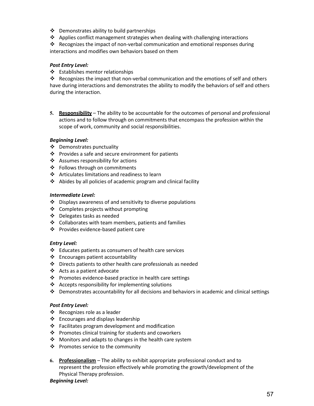- ❖ Demonstrates ability to build partnerships
- $\cdot$  Applies conflict management strategies when dealing with challenging interactions

Recognizes the impact of non-verbal communication and emotional responses during interactions and modifies own behaviors based on them

#### *Post Entry Level:*

Establishes mentor relationships

Recognizes the impact that non-verbal communication and the emotions of self and others have during interactions and demonstrates the ability to modify the behaviors of self and others during the interaction.

**5. Responsibility** – The ability to be accountable for the outcomes of personal and professional actions and to follow through on commitments that encompass the profession within the scope of work, community and social responsibilities.

#### *Beginning Level:*

- Demonstrates punctuality
- Provides a safe and secure environment for patients
- $\clubsuit$  Assumes responsibility for actions
- ❖ Follows through on commitments
- ❖ Articulates limitations and readiness to learn
- $\triangle$  Abides by all policies of academic program and clinical facility

#### *Intermediate Level:*

- $\cdot \cdot$  Displays awareness of and sensitivity to diverse populations
- ❖ Completes projects without prompting
- Delegates tasks as needed
- $\div$  Collaborates with team members, patients and families
- ❖ Provides evidence-based patient care

#### *Entry Level:*

- $\cdot \cdot$  Educates patients as consumers of health care services
- $\triangleleft$  Encourages patient accountability
- $\clubsuit$  Directs patients to other health care professionals as needed
- Acts as a patient advocate
- ❖ Promotes evidence-based practice in health care settings
- $\triangleleft$  Accepts responsibility for implementing solutions
- $\div$  Demonstrates accountability for all decisions and behaviors in academic and clinical settings

#### *Post Entry Level:*

- Recognizes role as a leader
- $\triangleleft$  Encourages and displays leadership
- $\cdot \cdot$  Facilitates program development and modification
- ❖ Promotes clinical training for students and coworkers
- $\cdot$  Monitors and adapts to changes in the health care system
- ❖ Promotes service to the community
- **6. Professionalism** The ability to exhibit appropriate professional conduct and to represent the profession effectively while promoting the growth/development of the Physical Therapy profession.

#### *Beginning Level:*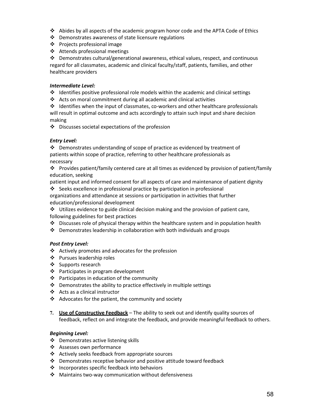- Abides by all aspects of the academic program honor code and the APTA Code of Ethics
- $\triangle$  Demonstrates awareness of state licensure regulations
- Projects professional image
- Attends professional meetings

 $\div$  Demonstrates cultural/generational awareness, ethical values, respect, and continuous regard for all classmates, academic and clinical faculty/staff, patients, families, and other healthcare providers

#### *Intermediate Level:*

- $\div$  Identifies positive professional role models within the academic and clinical settings
- $\triangle$  Acts on moral commitment during all academic and clinical activities

 $\div$  Identifies when the input of classmates, co-workers and other healthcare professionals will result in optimal outcome and acts accordingly to attain such input and share decision making

Discusses societal expectations of the profession

#### *Entry Level:*

 Demonstrates understanding of scope of practice as evidenced by treatment of patients within scope of practice, referring to other healthcare professionals as necessary

 $\div$  Provides patient/family centered care at all times as evidenced by provision of patient/family education, seeking

patient input and informed consent for all aspects of care and maintenance of patient dignity

Seeks excellence in professional practice by participation in professional

organizations and attendance at sessions or participation in activities that further education/professional development

 $\div$  Utilizes evidence to guide clinical decision making and the provision of patient care, following guidelines for best practices

- $\cdot \cdot$  Discusses role of physical therapy within the healthcare system and in population health
- $\cdot \cdot$  Demonstrates leadership in collaboration with both individuals and groups

#### *Post Entry Level:*

- Actively promotes and advocates for the profession
- ❖ Pursues leadership roles
- ❖ Supports research
- ❖ Participates in program development
- ❖ Participates in education of the community
- $\cdot \cdot$  Demonstrates the ability to practice effectively in multiple settings
- Acts as a clinical instructor
- $\triangleleft$  Advocates for the patient, the community and society
- **7. Use of Constructive Feedback** The ability to seek out and identify quality sources of feedback, reflect on and integrate the feedback, and provide meaningful feedback to others.

#### *Beginning Level:*

- Demonstrates active listening skills
- ❖ Assesses own performance
- Actively seeks feedback from appropriate sources
- $\clubsuit$  Demonstrates receptive behavior and positive attitude toward feedback
- ❖ Incorporates specific feedback into behaviors
- ❖ Maintains two-way communication without defensiveness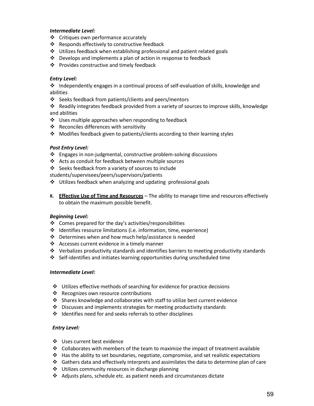#### *Intermediate Level:*

- ❖ Critiques own performance accurately
- ❖ Responds effectively to constructive feedback
- Utilizes feedback when establishing professional and patient related goals
- $\cdot \cdot$  Develops and implements a plan of action in response to feedback
- ❖ Provides constructive and timely feedback

#### *Entry Level:*

 $\cdot \cdot$  Independently engages in a continual process of self-evaluation of skills, knowledge and abilities

❖ Seeks feedback from patients/clients and peers/mentors

 Readily integrates feedback provided from a variety of sources to improve skills, knowledge and abilities

- $\cdot$  Uses multiple approaches when responding to feedback
- Reconciles differences with sensitivity
- $\div$  Modifies feedback given to patients/clients according to their learning styles

#### *Post Entry Level:*

- Engages in non-judgmental, constructive problem-solving discussions
- Acts as conduit for feedback between multiple sources
- Seeks feedback from a variety of sources to include

students/supervisees/peers/supervisors/patients

- Utilizes feedback when analyzing and updating professional goals
- **8. Effective Use of Time and Resources** The ability to manage time and resources effectively to obtain the maximum possible benefit.

#### *Beginning Level:*

- $\div$  Comes prepared for the day's activities/responsibilities
- Identifies resource limitations (i.e. information, time, experience)
- $\cdot \cdot$  Determines when and how much help/assistance is needed
- ❖ Accesses current evidence in a timely manner
- $\div$  Verbalizes productivity standards and identifies barriers to meeting productivity standards
- Self-identifies and initiates learning opportunities during unscheduled time

#### *Intermediate Level:*

- $\cdot \cdot$  Utilizes effective methods of searching for evidence for practice decisions
- ❖ Recognizes own resource contributions
- $\div$  Shares knowledge and collaborates with staff to utilize best current evidence
- $\cdot$  Discusses and implements strategies for meeting productivity standards
- $\cdot$  Identifies need for and seeks referrals to other disciplines

#### *Entry Level:*

- Uses current best evidence
- $\div$  Collaborates with members of the team to maximize the impact of treatment available
- $\cdot \cdot$  Has the ability to set boundaries, negotiate, compromise, and set realistic expectations
- $\clubsuit$  Gathers data and effectively interprets and assimilates the data to determine plan of care
- ❖ Utilizes community resources in discharge planning
- $\clubsuit$  Adjusts plans, schedule etc. as patient needs and circumstances dictate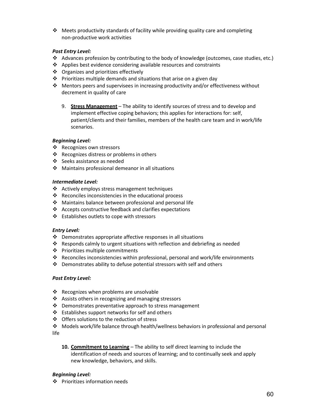$\div$  Meets productivity standards of facility while providing quality care and completing non-productive work activities

#### *Post Entry Level:*

- Advances profession by contributing to the body of knowledge (outcomes, case studies, etc.)
- Applies best evidence considering available resources and constraints
- ❖ Organizes and prioritizes effectively
- $\cdot \cdot$  Prioritizes multiple demands and situations that arise on a given day
- $\clubsuit$  Mentors peers and supervisees in increasing productivity and/or effectiveness without decrement in quality of care
	- 9. **Stress Management** The ability to identify sources of stress and to develop and implement effective coping behaviors; this applies for interactions for: self, patient/clients and their families, members of the health care team and in work/life scenarios.

#### *Beginning Level:*

- ❖ Recognizes own stressors
- ❖ Recognizes distress or problems in others
- Seeks assistance as needed
- $\cdot$  Maintains professional demeanor in all situations

#### *Intermediate Level:*

- ❖ Actively employs stress management techniques
- $\cdot \cdot$  Reconciles inconsistencies in the educational process
- Maintains balance between professional and personal life
- $\div$  Accepts constructive feedback and clarifies expectations
- $\div$  Establishes outlets to cope with stressors

#### *Entry Level:*

- $\div$  Demonstrates appropriate affective responses in all situations
- Responds calmly to urgent situations with reflection and debriefing as needed
- ❖ Prioritizes multiple commitments
- $\div$  Reconciles inconsistencies within professional, personal and work/life environments
- $\cdot$  Demonstrates ability to defuse potential stressors with self and others

#### *Post Entry Level:*

- ❖ Recognizes when problems are unsolvable
- ❖ Assists others in recognizing and managing stressors
- $\cdot$  Demonstrates preventative approach to stress management
- $\cdot \cdot$  Establishes support networks for self and others
- ❖ Offers solutions to the reduction of stress
- Models work/life balance through health/wellness behaviors in professional and personal life
	- **10. Commitment to Learning** The ability to self direct learning to include the identification of needs and sources of learning; and to continually seek and apply new knowledge, behaviors, and skills.

#### *Beginning Level:*

❖ Prioritizes information needs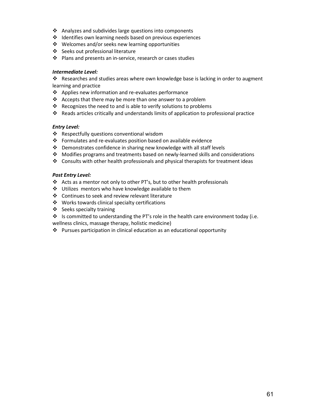- Analyzes and subdivides large questions into components
- ❖ Identifies own learning needs based on previous experiences
- Welcomes and/or seeks new learning opportunities
- ❖ Seeks out professional literature
- ❖ Plans and presents an in-service, research or cases studies

#### *Intermediate Level:*

Researches and studies areas where own knowledge base is lacking in order to augment learning and practice

- ❖ Applies new information and re-evaluates performance
- $\div$  Accepts that there may be more than one answer to a problem
- $\cdot$  Recognizes the need to and is able to verify solutions to problems
- Reads articles critically and understands limits of application to professional practice

#### *Entry Level:*

- ❖ Respectfully questions conventional wisdom
- $\cdot \cdot$  Formulates and re-evaluates position based on available evidence
- Demonstrates confidence in sharing new knowledge with all staff levels
- Modifies programs and treatments based on newly-learned skills and considerations
- $\div$  Consults with other health professionals and physical therapists for treatment ideas

#### *Post Entry Level:*

- Acts as a mentor not only to other PT's, but to other health professionals
- ❖ Utilizes mentors who have knowledge available to them
- ❖ Continues to seek and review relevant literature
- Works towards clinical specialty certifications
- ❖ Seeks specialty training

 Is committed to understanding the PT's role in the health care environment today (i.e. wellness clinics, massage therapy, holistic medicine)

Pursues participation in clinical education as an educational opportunity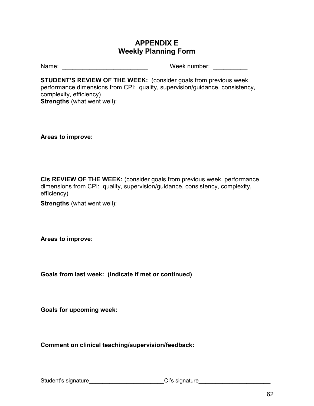### **APPENDIX E Weekly Planning Form**

<span id="page-61-0"></span>Name: \_\_\_\_\_\_\_\_\_\_\_\_\_\_\_\_\_\_\_\_\_\_\_\_\_ Week number: \_\_\_\_\_\_\_\_\_\_

**STUDENT'S REVIEW OF THE WEEK:** (consider goals from previous week, performance dimensions from CPI: quality, supervision/guidance, consistency, complexity, efficiency) **Strengths** (what went well):

**Areas to improve:**

**CIs REVIEW OF THE WEEK:** (consider goals from previous week, performance dimensions from CPI: quality, supervision/guidance, consistency, complexity, efficiency)

**Strengths** (what went well):

**Areas to improve:**

**Goals from last week: (Indicate if met or continued)**

**Goals for upcoming week:**

**Comment on clinical teaching/supervision/feedback:**

Student's signature\_\_\_\_\_\_\_\_\_\_\_\_\_\_\_\_\_\_\_\_\_\_\_\_\_\_\_\_\_\_\_CI's signature\_\_\_\_\_\_\_\_\_\_\_\_\_\_\_\_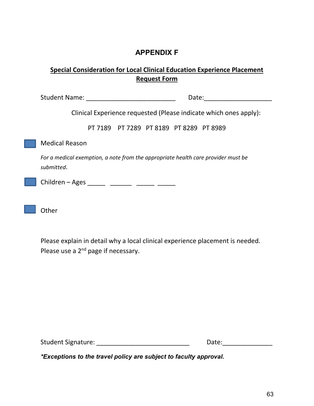### **APPENDIX F**

### <span id="page-62-0"></span>**Special Consideration for Local Clinical Education Experience Placement Request Form**

| Student Name: The Contract of the Student Name:<br>Date:                                        |
|-------------------------------------------------------------------------------------------------|
| Clinical Experience requested (Please indicate which ones apply):                               |
| PT 7189 PT 7289 PT 8189 PT 8289 PT 8989                                                         |
| <b>Medical Reason</b>                                                                           |
| For a medical exemption, a note from the appropriate health care provider must be<br>submitted. |
| Children – Ages ______ _______ ______ _____                                                     |
| Other                                                                                           |

Please explain in detail why a local clinical experience placement is needed. Please use a 2<sup>nd</sup> page if necessary.

Student Signature: \_\_\_\_\_\_\_\_\_\_\_\_\_\_\_\_\_\_\_\_\_\_\_\_\_\_ Date:\_\_\_\_\_\_\_\_\_\_\_\_\_\_

<span id="page-62-1"></span>*\*Exceptions to the travel policy are subject to faculty approval.*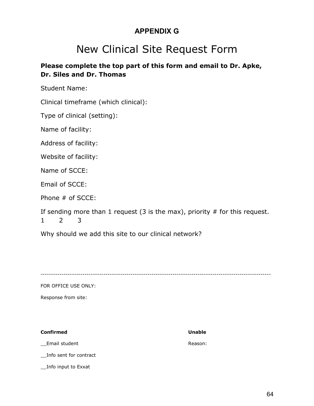### **APPENDIX G**

## New Clinical Site Request Form

### **Please complete the top part of this form and email to Dr. Apke, Dr. Siles and Dr. Thomas**

Student Name:

Clinical timeframe (which clinical):

Type of clinical (setting):

Name of facility:

Address of facility:

Website of facility:

Name of SCCE:

Email of SCCE:

Phone # of SCCE:

If sending more than 1 request (3 is the max), priority  $#$  for this request. 1 2 3

Why should we add this site to our clinical network?

--------------------------------------------------------------------------------------------------------------

FOR OFFICE USE ONLY:

Response from site:

#### **Confirmed Unable**

Email student and a series of the contract of the Reason:

\_\_Info sent for contract

\_\_Info input to Exxat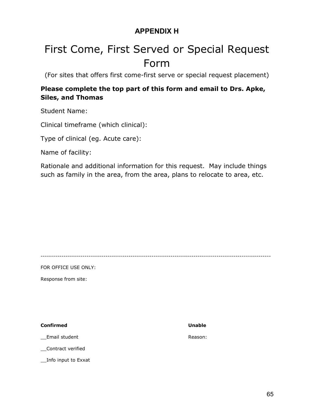### **APPENDIX H**

# <span id="page-64-0"></span>First Come, First Served or Special Request Form

(For sites that offers first come-first serve or special request placement)

### **Please complete the top part of this form and email to Drs. Apke, Siles, and Thomas**

Student Name:

Clinical timeframe (which clinical):

Type of clinical (eg. Acute care):

Name of facility:

Rationale and additional information for this request. May include things such as family in the area, from the area, plans to relocate to area, etc.

--------------------------------------------------------------------------------------------------------------

FOR OFFICE USE ONLY:

Response from site:

**Confirmed Unable**

Email student **Reason:** Reason:

\_\_Contract verified

\_\_Info input to Exxat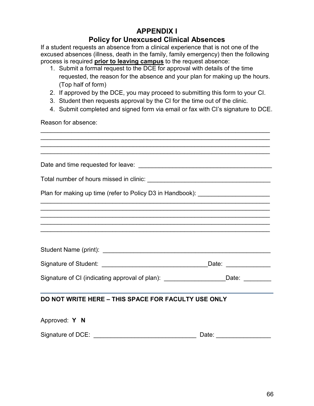### **APPENDIX I Policy for Unexcused Clinical Absences**

<span id="page-65-0"></span>If a student requests an absence from a clinical experience that is not one of the excused absences (illness, death in the family, family emergency) then the following process is required **prior to leaving campus** to the request absence:

- 1. Submit a formal request to the DCE for approval with details of the time requested, the reason for the absence and your plan for making up the hours. (Top half of form)
- 2. If approved by the DCE, you may proceed to submitting this form to your CI.

\_\_\_\_\_\_\_\_\_\_\_\_\_\_\_\_\_\_\_\_\_\_\_\_\_\_\_\_\_\_\_\_\_\_\_\_\_\_\_\_\_\_\_\_\_\_\_\_\_\_\_\_\_\_\_\_\_\_\_\_\_\_\_\_\_\_\_

- 3. Student then requests approval by the CI for the time out of the clinic.
- 4. Submit completed and signed form via email or fax with CI's signature to DCE.

Reason for absence:

| Plan for making up time (refer to Policy D3 in Handbook): ______________________                                      |                 |
|-----------------------------------------------------------------------------------------------------------------------|-----------------|
| ,我们也不能在这里的人,我们也不能在这里的人,我们也不能在这里的人,我们也不能在这里的人,我们也不能在这里的人,我们也不能在这里的人,我们也不能在这里的人,我们也                                     |                 |
| <u> 1999 - Johann John Stoff, amerikan besteckte besteckte besteckte besteckte besteckte besteckte besteckte best</u> |                 |
|                                                                                                                       |                 |
|                                                                                                                       |                 |
|                                                                                                                       |                 |
| Signature of CI (indicating approval of plan): ______________________Date: _________                                  |                 |
| DO NOT WRITE HERE - THIS SPACE FOR FACULTY USE ONLY                                                                   |                 |
| Approved: Y N                                                                                                         |                 |
|                                                                                                                       | Date: _________ |